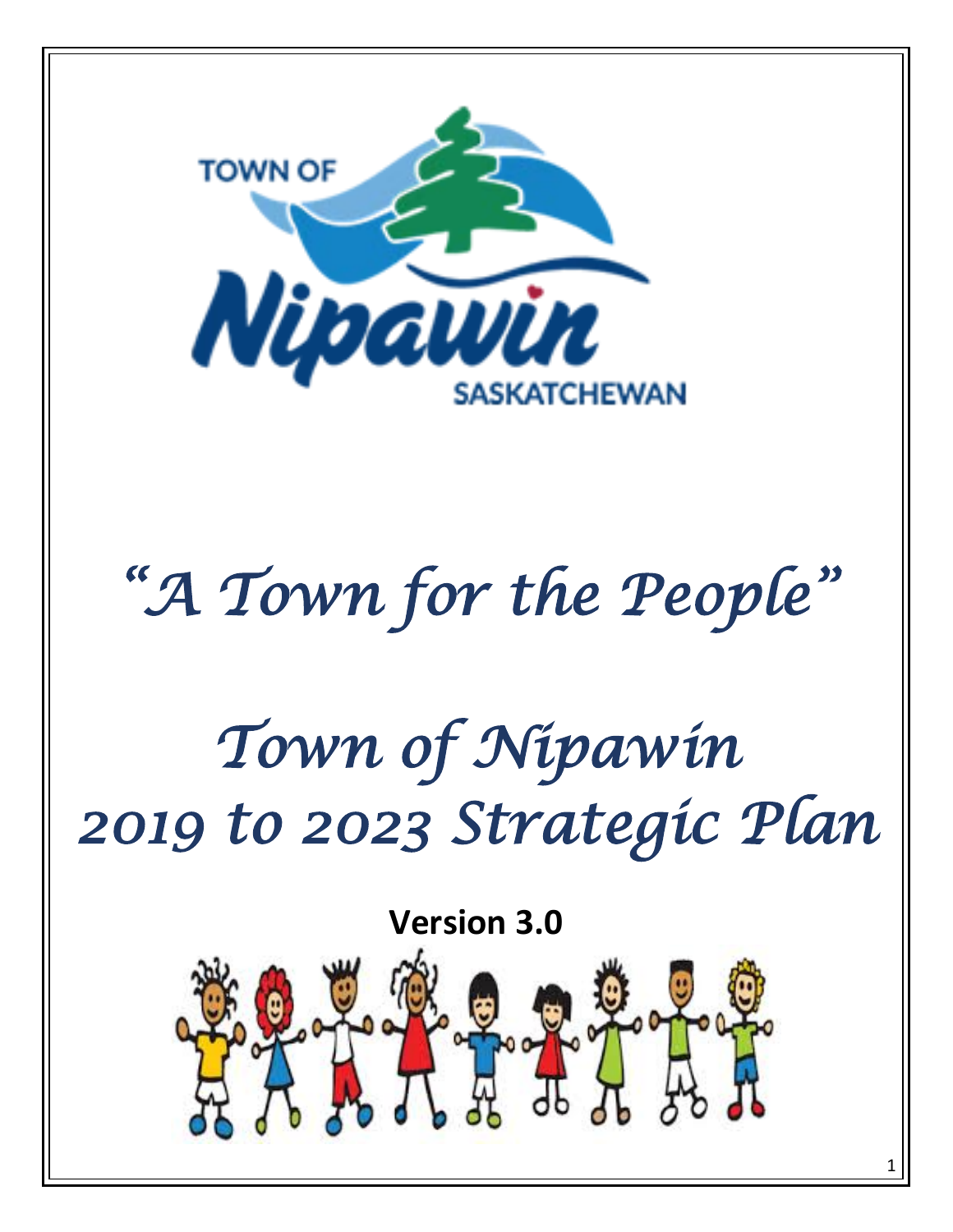

# *"A Town for the People"*

# *Town of Nipawin 2019 to 2023 Strategic Plan*

**Version 3.0**

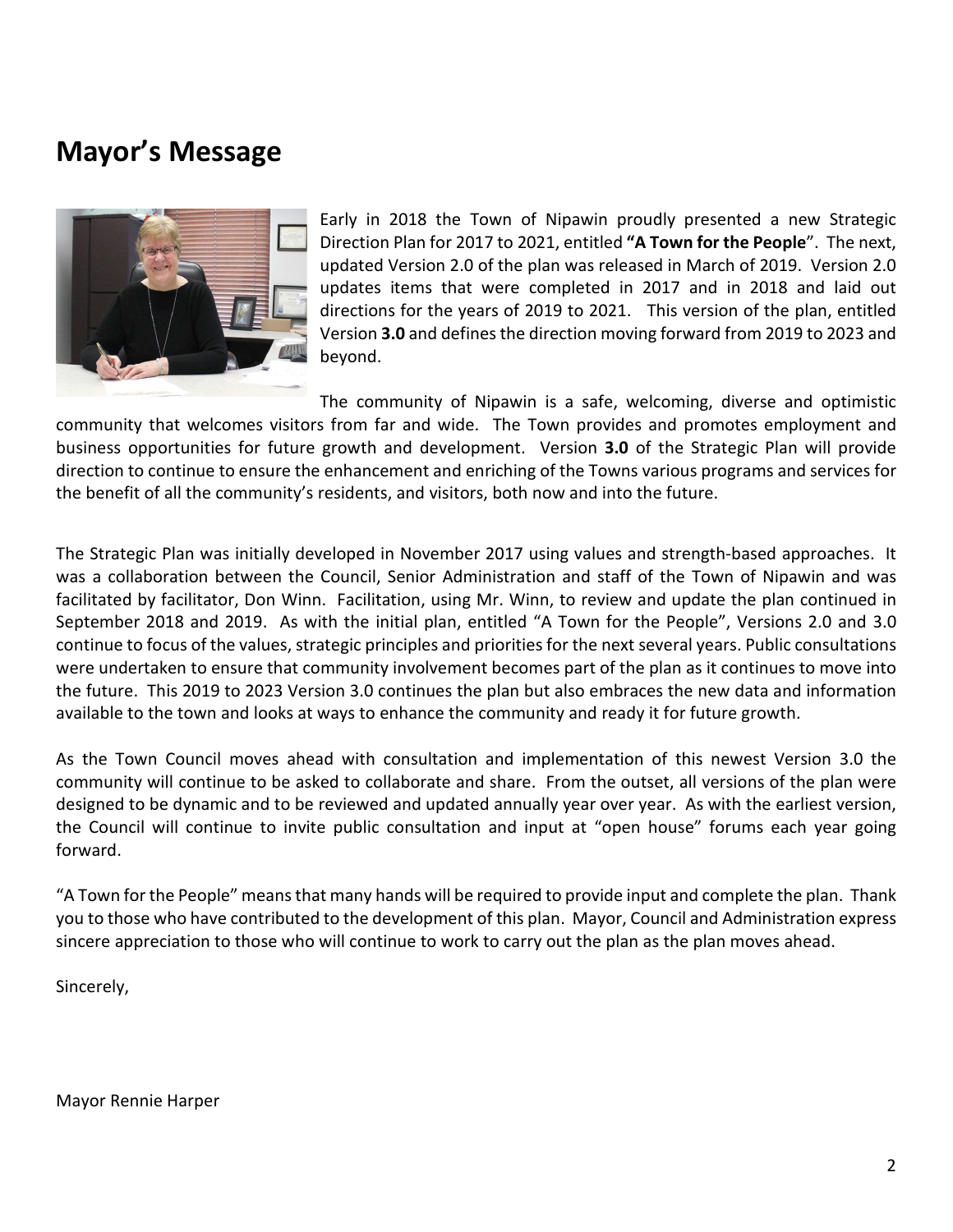## **Mayor's Message**



Early in 2018 the Town of Nipawin proudly presented a new Strategic Direction Plan for 2017 to 2021, entitled **"A Town for the People**". The next, updated Version 2.0 of the plan was released in March of 2019. Version 2.0 updates items that were completed in 2017 and in 2018 and laid out directions for the years of 2019 to 2021. This version of the plan, entitled Version **3.0** and defines the direction moving forward from 2019 to 2023 and beyond.

The community of Nipawin is a safe, welcoming, diverse and optimistic community that welcomes visitors from far and wide. The Town provides and promotes employment and business opportunities for future growth and development. Version **3.0** of the Strategic Plan will provide direction to continue to ensure the enhancement and enriching of the Towns various programs and services for the benefit of all the community's residents, and visitors, both now and into the future.

The Strategic Plan was initially developed in November 2017 using values and strength-based approaches. It was a collaboration between the Council, Senior Administration and staff of the Town of Nipawin and was facilitated by facilitator, Don Winn. Facilitation, using Mr. Winn, to review and update the plan continued in September 2018 and 2019. As with the initial plan, entitled "A Town for the People", Versions 2.0 and 3.0 continue to focus of the values, strategic principles and priorities for the next several years. Public consultations were undertaken to ensure that community involvement becomes part of the plan as it continues to move into the future. This 2019 to 2023 Version 3.0 continues the plan but also embraces the new data and information available to the town and looks at ways to enhance the community and ready it for future growth.

As the Town Council moves ahead with consultation and implementation of this newest Version 3.0 the community will continue to be asked to collaborate and share. From the outset, all versions of the plan were designed to be dynamic and to be reviewed and updated annually year over year. As with the earliest version, the Council will continue to invite public consultation and input at "open house" forums each year going forward.

"A Town for the People" means that many hands will be required to provide input and complete the plan. Thank you to those who have contributed to the development of this plan. Mayor, Council and Administration express sincere appreciation to those who will continue to work to carry out the plan as the plan moves ahead.

Sincerely,

Mayor Rennie Harper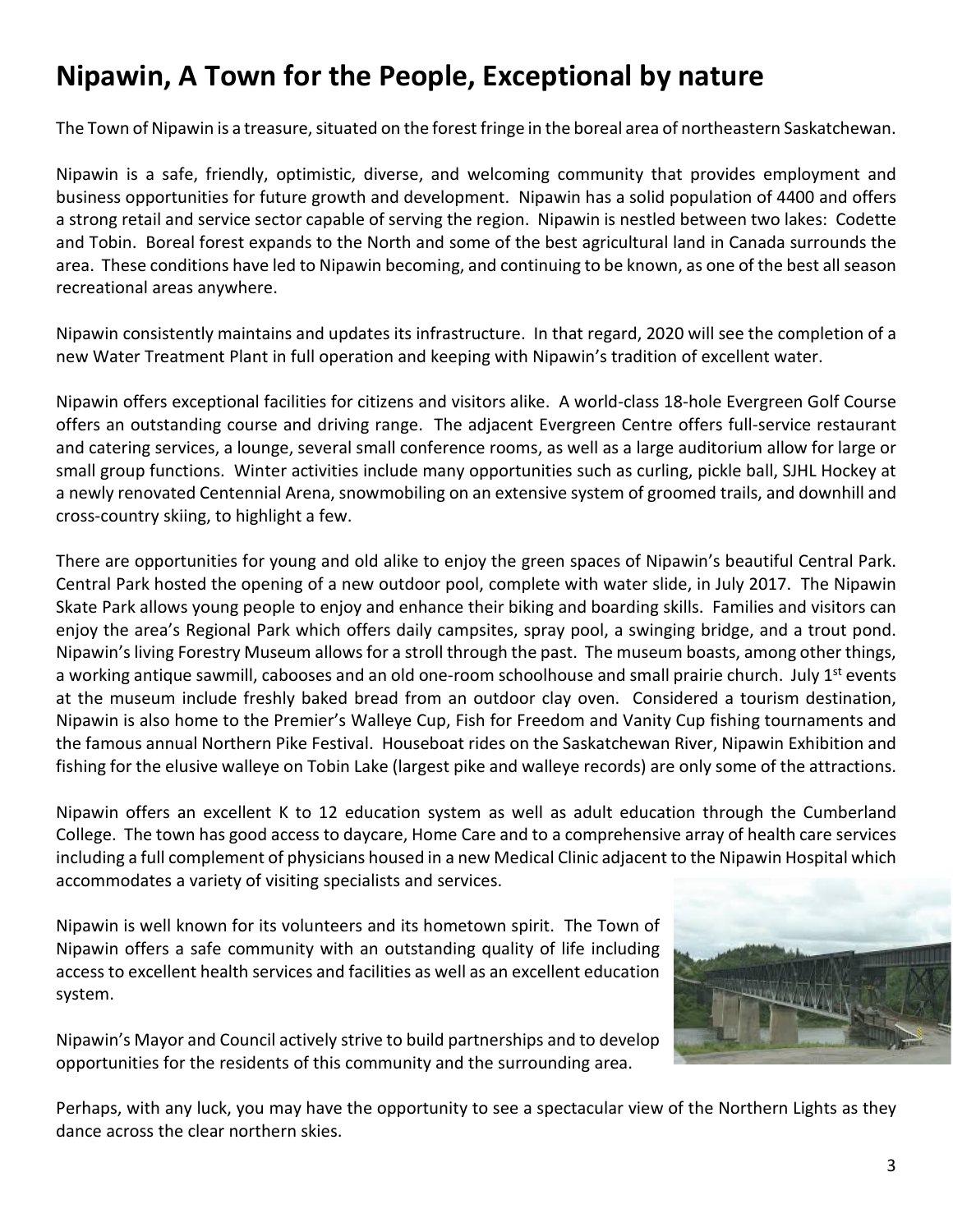# **Nipawin, A Town for the People, Exceptional by nature**

The Town of Nipawin is a treasure, situated on the forest fringe in the boreal area of northeastern Saskatchewan.

Nipawin is a safe, friendly, optimistic, diverse, and welcoming community that provides employment and business opportunities for future growth and development. Nipawin has a solid population of 4400 and offers a strong retail and service sector capable of serving the region. Nipawin is nestled between two lakes: Codette and Tobin. Boreal forest expands to the North and some of the best agricultural land in Canada surrounds the area. These conditions have led to Nipawin becoming, and continuing to be known, as one of the best all season recreational areas anywhere.

Nipawin consistently maintains and updates its infrastructure. In that regard, 2020 will see the completion of a new Water Treatment Plant in full operation and keeping with Nipawin's tradition of excellent water.

Nipawin offers exceptional facilities for citizens and visitors alike. A world-class 18-hole Evergreen Golf Course offers an outstanding course and driving range. The adjacent Evergreen Centre offers full-service restaurant and catering services, a lounge, several small conference rooms, as well as a large auditorium allow for large or small group functions. Winter activities include many opportunities such as curling, pickle ball, SJHL Hockey at a newly renovated Centennial Arena, snowmobiling on an extensive system of groomed trails, and downhill and cross-country skiing, to highlight a few.

There are opportunities for young and old alike to enjoy the green spaces of Nipawin's beautiful Central Park. Central Park hosted the opening of a new outdoor pool, complete with water slide, in July 2017. The Nipawin Skate Park allows young people to enjoy and enhance their biking and boarding skills. Families and visitors can enjoy the area's Regional Park which offers daily campsites, spray pool, a swinging bridge, and a trout pond. Nipawin's living Forestry Museum allows for a stroll through the past. The museum boasts, among other things, a working antique sawmill, cabooses and an old one-room schoolhouse and small prairie church. July 1<sup>st</sup> events at the museum include freshly baked bread from an outdoor clay oven. Considered a tourism destination, Nipawin is also home to the Premier's Walleye Cup, Fish for Freedom and Vanity Cup fishing tournaments and the famous annual Northern Pike Festival. Houseboat rides on the Saskatchewan River, Nipawin Exhibition and fishing for the elusive walleye on Tobin Lake (largest pike and walleye records) are only some of the attractions.

Nipawin offers an excellent K to 12 education system as well as adult education through the Cumberland College. The town has good access to daycare, Home Care and to a comprehensive array of health care services including a full complement of physicians housed in a new Medical Clinic adjacent to the Nipawin Hospital which accommodates a variety of visiting specialists and services.

Nipawin is well known for its volunteers and its hometown spirit. The Town of Nipawin offers a safe community with an outstanding quality of life including access to excellent health services and facilities as well as an excellent education system.

Nipawin's Mayor and Council actively strive to build partnerships and to develop opportunities for the residents of this community and the surrounding area.



Perhaps, with any luck, you may have the opportunity to see a spectacular view of the Northern Lights as they dance across the clear northern skies.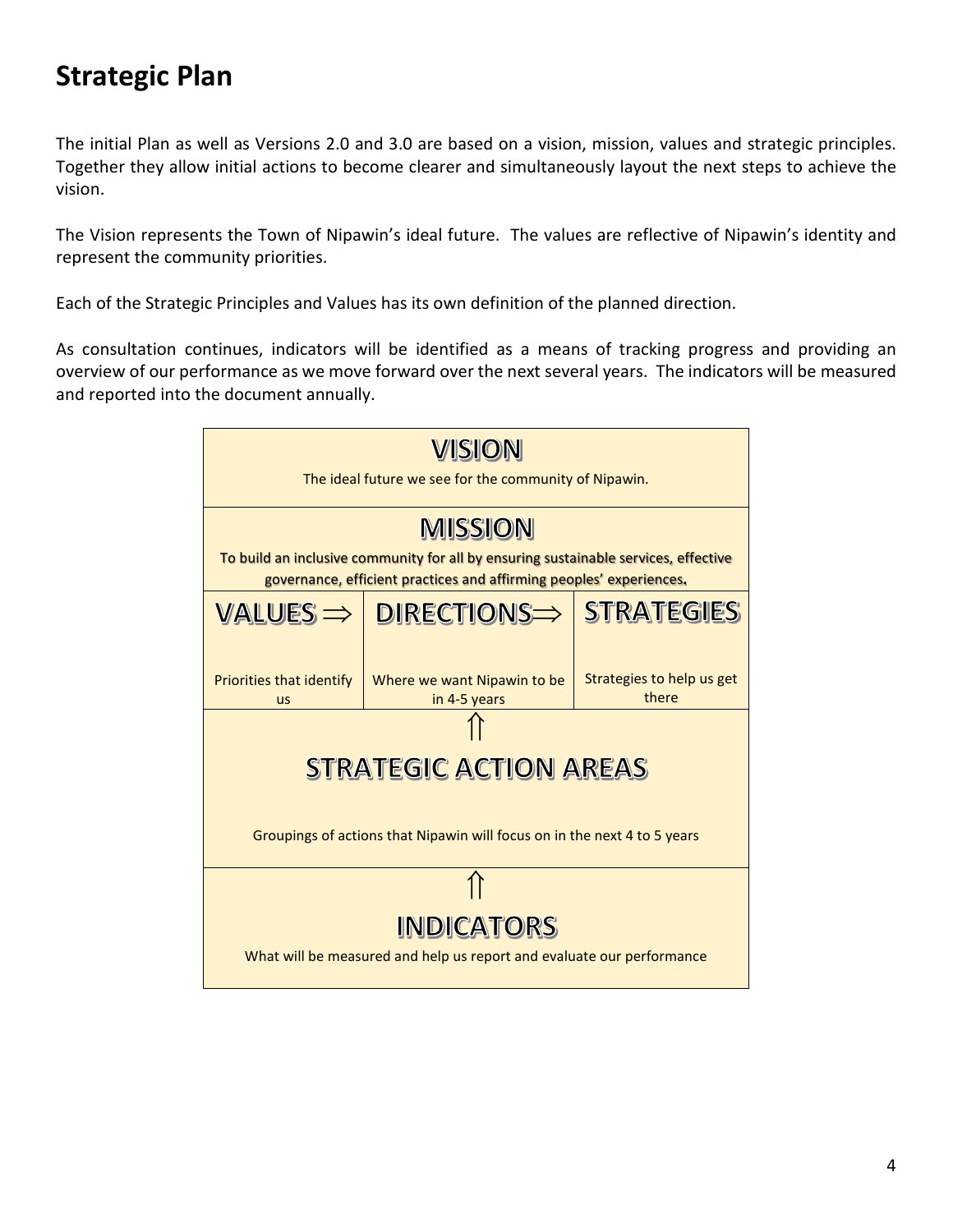# **Strategic Plan**

The initial Plan as well as Versions 2.0 and 3.0 are based on a vision, mission, values and strategic principles. Together they allow initial actions to become clearer and simultaneously layout the next steps to achieve the vision.

The Vision represents the Town of Nipawin's ideal future. The values are reflective of Nipawin's identity and represent the community priorities.

Each of the Strategic Principles and Values has its own definition of the planned direction.

As consultation continues, indicators will be identified as a means of tracking progress and providing an overview of our performance as we move forward over the next several years. The indicators will be measured and reported into the document annually.

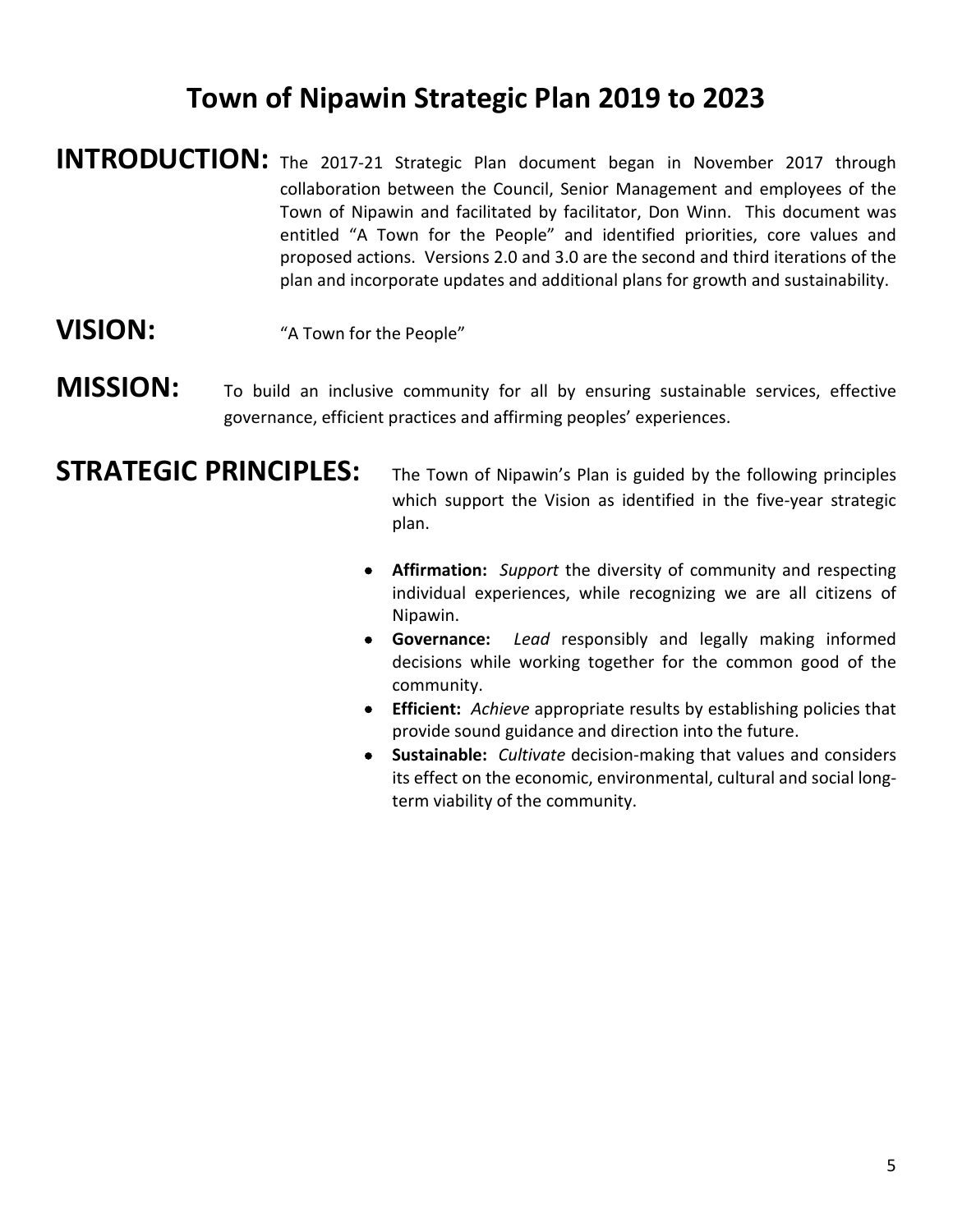# **Town of Nipawin Strategic Plan 2019 to 2023**

- **INTRODUCTION:** The 2017-21 Strategic Plan document began in November 2017 through collaboration between the Council, Senior Management and employees of the Town of Nipawin and facilitated by facilitator, Don Winn. This document was entitled "A Town for the People" and identified priorities, core values and proposed actions. Versions 2.0 and 3.0 are the second and third iterations of the plan and incorporate updates and additional plans for growth and sustainability.
- **VISION:** "A Town for the People"
- **MISSION:** To build an inclusive community for all by ensuring sustainable services, effective governance, efficient practices and affirming peoples' experiences.

- **STRATEGIC PRINCIPLES:** The Town of Nipawin's Plan is guided by the following principles which support the Vision as identified in the five-year strategic plan.
	- **Affirmation:** *Support* the diversity of community and respecting individual experiences, while recognizing we are all citizens of Nipawin.
	- **Governance:** *Lead* responsibly and legally making informed decisions while working together for the common good of the community.
	- **Efficient:** *Achieve* appropriate results by establishing policies that provide sound guidance and direction into the future.
	- **Sustainable:** *Cultivate* decision-making that values and considers its effect on the economic, environmental, cultural and social longterm viability of the community.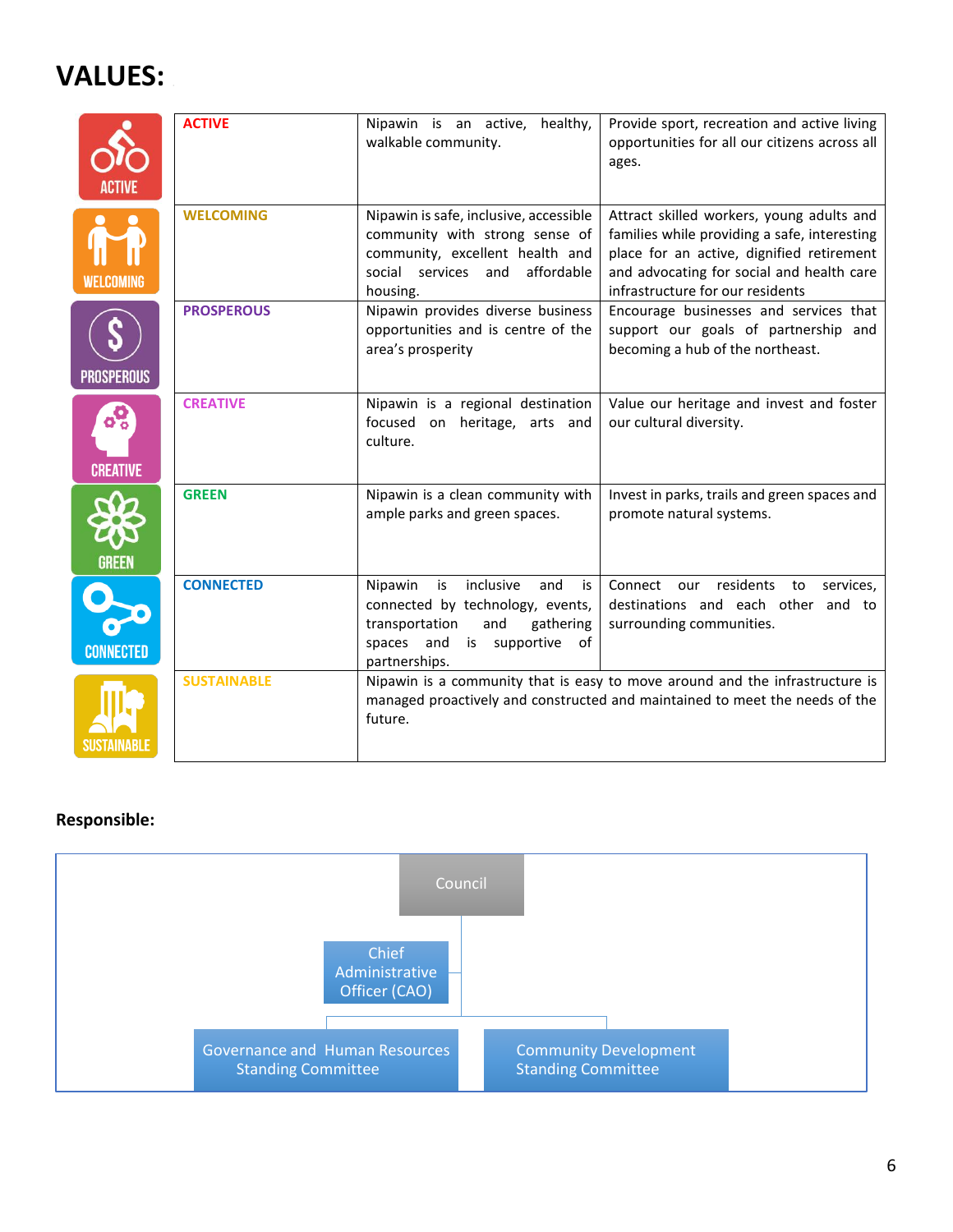# **VALUES:**

|                        | <b>ACTIVE</b>      | Nipawin is an active, healthy,<br>walkable community.                                                                                                                | Provide sport, recreation and active living<br>opportunities for all our citizens across all<br>ages.                                                                                                                   |
|------------------------|--------------------|----------------------------------------------------------------------------------------------------------------------------------------------------------------------|-------------------------------------------------------------------------------------------------------------------------------------------------------------------------------------------------------------------------|
| WELCOMING              | <b>WELCOMING</b>   | Nipawin is safe, inclusive, accessible<br>community with strong sense of<br>community, excellent health and<br>social services<br>affordable<br>and<br>housing.      | Attract skilled workers, young adults and<br>families while providing a safe, interesting<br>place for an active, dignified retirement<br>and advocating for social and health care<br>infrastructure for our residents |
| <b>PROSPEROUS</b>      | <b>PROSPEROUS</b>  | Nipawin provides diverse business<br>opportunities and is centre of the<br>area's prosperity                                                                         | Encourage businesses and services that<br>support our goals of partnership and<br>becoming a hub of the northeast.                                                                                                      |
| ၀ိ၀<br><b>CREATIVE</b> | <b>CREATIVE</b>    | Nipawin is a regional destination<br>focused on heritage, arts and<br>culture.                                                                                       | Value our heritage and invest and foster<br>our cultural diversity.                                                                                                                                                     |
| <b>GREEN</b>           | <b>GREEN</b>       | Nipawin is a clean community with<br>ample parks and green spaces.                                                                                                   | Invest in parks, trails and green spaces and<br>promote natural systems.                                                                                                                                                |
| <b>CONNECTED</b>       | <b>CONNECTED</b>   | inclusive<br>Nipawin<br>is<br>and<br>is<br>connected by technology, events,<br>transportation<br>and<br>gathering<br>spaces and is supportive<br>of<br>partnerships. | Connect our residents to services,<br>destinations and each other and to<br>surrounding communities.                                                                                                                    |
| SUSTAINABLE            | <b>SUSTAINABLE</b> | future.                                                                                                                                                              | Nipawin is a community that is easy to move around and the infrastructure is<br>managed proactively and constructed and maintained to meet the needs of the                                                             |

#### **Responsible:**

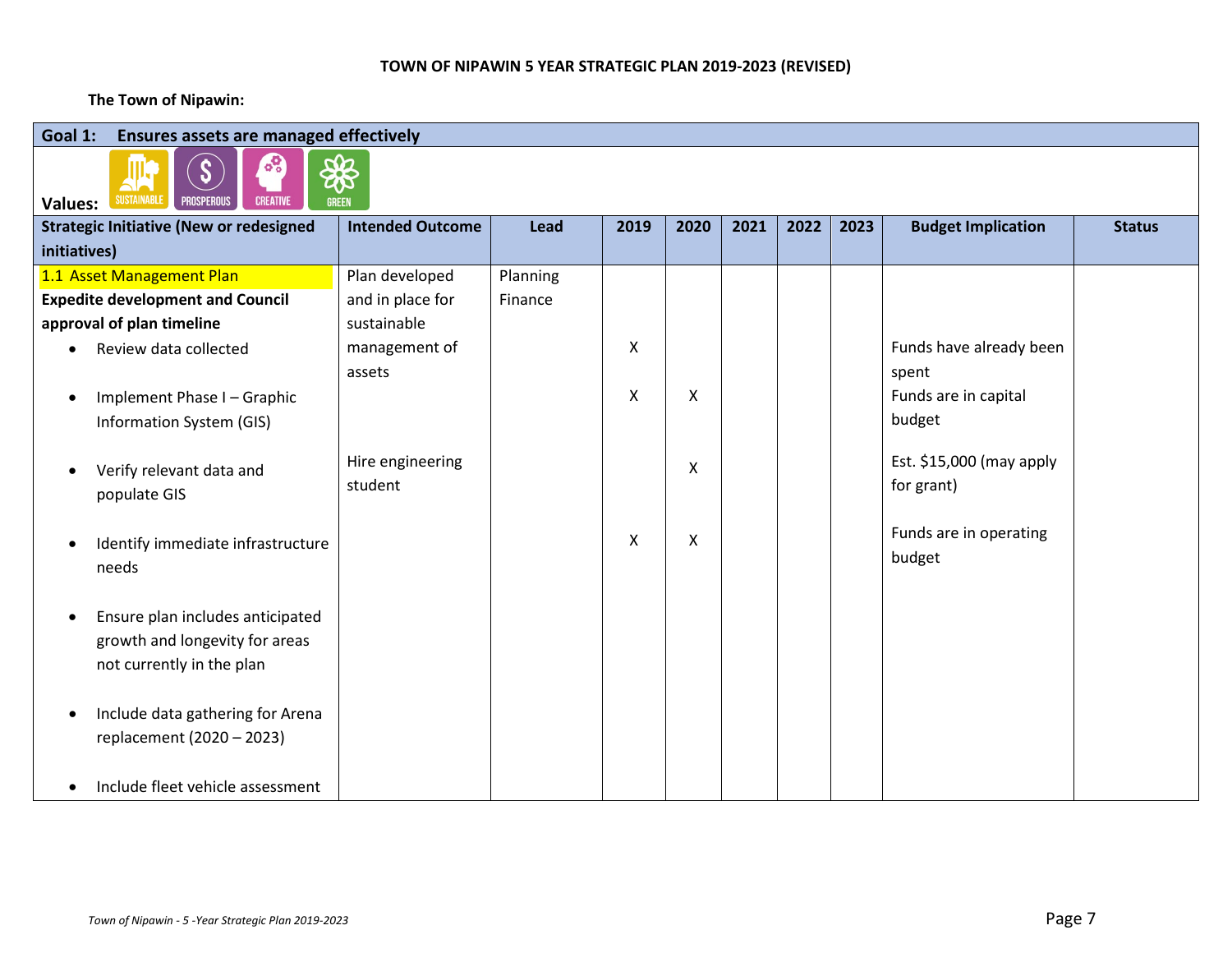#### **TOWN OF NIPAWIN 5 YEAR STRATEGIC PLAN 2019-2023 (REVISED)**

#### **The Town of Nipawin:**

| Goal 1:<br>Ensures assets are managed effectively<br>$^{\circ}$                                 |                             |          |                |      |      |      |      |                                        |               |  |  |  |
|-------------------------------------------------------------------------------------------------|-----------------------------|----------|----------------|------|------|------|------|----------------------------------------|---------------|--|--|--|
| S<br><b>SUSTAINABLE</b><br><b>CREATIVE</b><br><b>PROSPEROUS</b><br><b>Values:</b>               | \$<br><b>GREEN</b>          |          |                |      |      |      |      |                                        |               |  |  |  |
| <b>Strategic Initiative (New or redesigned</b>                                                  | <b>Intended Outcome</b>     | Lead     | 2019           | 2020 | 2021 | 2022 | 2023 | <b>Budget Implication</b>              | <b>Status</b> |  |  |  |
| initiatives)                                                                                    |                             |          |                |      |      |      |      |                                        |               |  |  |  |
| 1.1 Asset Management Plan                                                                       | Plan developed              | Planning |                |      |      |      |      |                                        |               |  |  |  |
| <b>Expedite development and Council</b>                                                         | and in place for            | Finance  |                |      |      |      |      |                                        |               |  |  |  |
| approval of plan timeline                                                                       | sustainable                 |          |                |      |      |      |      |                                        |               |  |  |  |
| Review data collected                                                                           | management of               |          | $\pmb{\times}$ |      |      |      |      | Funds have already been                |               |  |  |  |
|                                                                                                 | assets                      |          |                |      |      |      |      | spent                                  |               |  |  |  |
| Implement Phase I - Graphic                                                                     |                             |          | $\pmb{\times}$ | Χ    |      |      |      | Funds are in capital                   |               |  |  |  |
| Information System (GIS)                                                                        |                             |          |                |      |      |      |      | budget                                 |               |  |  |  |
| Verify relevant data and<br>populate GIS                                                        | Hire engineering<br>student |          |                | Χ    |      |      |      | Est. \$15,000 (may apply<br>for grant) |               |  |  |  |
| Identify immediate infrastructure<br>needs                                                      |                             |          | X              | Χ    |      |      |      | Funds are in operating<br>budget       |               |  |  |  |
| Ensure plan includes anticipated<br>growth and longevity for areas<br>not currently in the plan |                             |          |                |      |      |      |      |                                        |               |  |  |  |
| Include data gathering for Arena<br>replacement (2020 - 2023)                                   |                             |          |                |      |      |      |      |                                        |               |  |  |  |
| Include fleet vehicle assessment<br>$\bullet$                                                   |                             |          |                |      |      |      |      |                                        |               |  |  |  |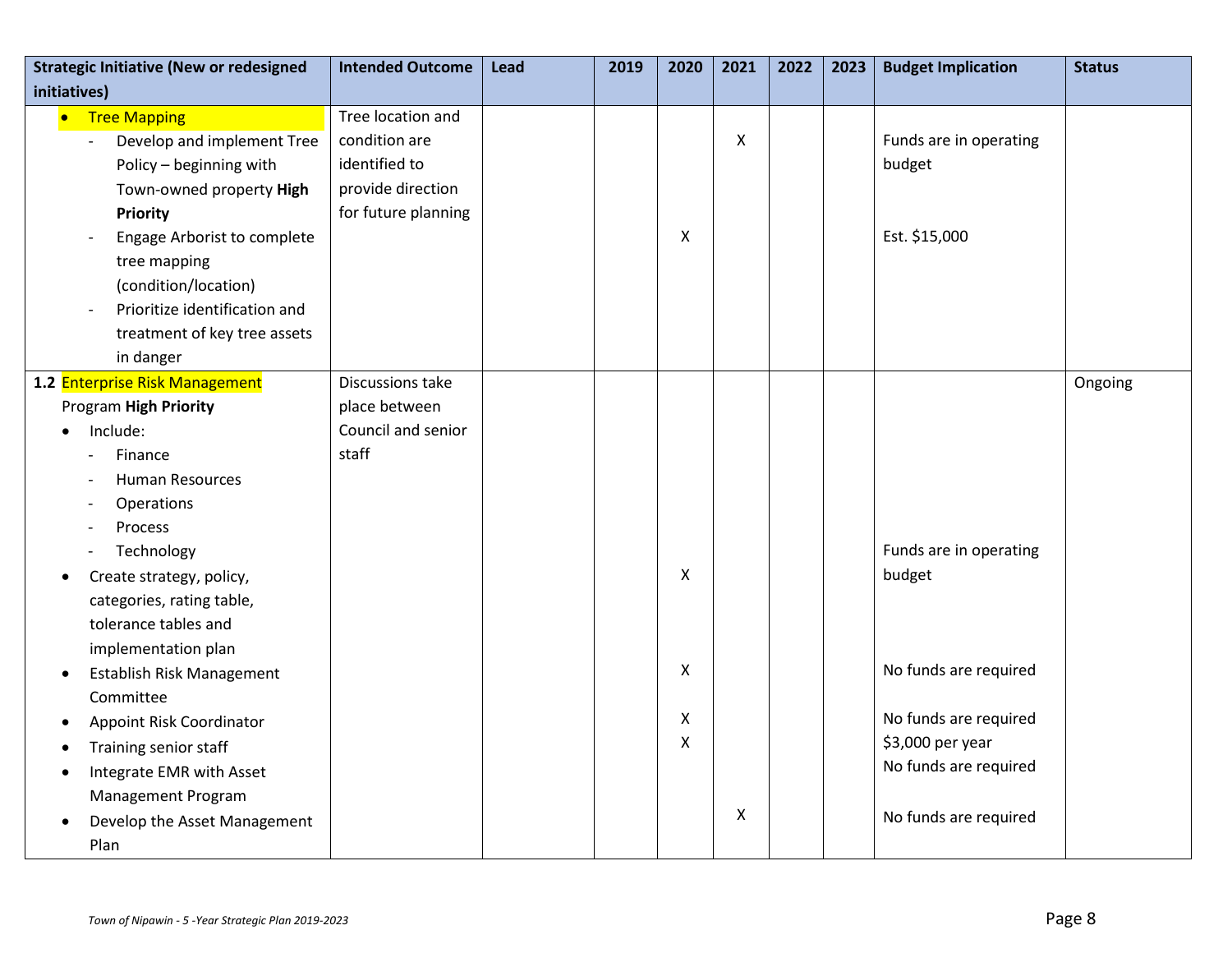| <b>Strategic Initiative (New or redesigned</b> | <b>Intended Outcome</b> | Lead | 2019 | 2020               | 2021 | 2022 | 2023 | <b>Budget Implication</b> | <b>Status</b> |
|------------------------------------------------|-------------------------|------|------|--------------------|------|------|------|---------------------------|---------------|
| initiatives)                                   |                         |      |      |                    |      |      |      |                           |               |
| • Tree Mapping                                 | Tree location and       |      |      |                    |      |      |      |                           |               |
| Develop and implement Tree                     | condition are           |      |      |                    | X    |      |      | Funds are in operating    |               |
| Policy - beginning with                        | identified to           |      |      |                    |      |      |      | budget                    |               |
| Town-owned property High                       | provide direction       |      |      |                    |      |      |      |                           |               |
| Priority                                       | for future planning     |      |      |                    |      |      |      |                           |               |
| Engage Arborist to complete                    |                         |      |      | $\pmb{\mathsf{X}}$ |      |      |      | Est. \$15,000             |               |
| tree mapping                                   |                         |      |      |                    |      |      |      |                           |               |
| (condition/location)                           |                         |      |      |                    |      |      |      |                           |               |
| Prioritize identification and                  |                         |      |      |                    |      |      |      |                           |               |
| treatment of key tree assets                   |                         |      |      |                    |      |      |      |                           |               |
| in danger                                      |                         |      |      |                    |      |      |      |                           |               |
| 1.2 Enterprise Risk Management                 | Discussions take        |      |      |                    |      |      |      |                           | Ongoing       |
| Program High Priority                          | place between           |      |      |                    |      |      |      |                           |               |
| Include:                                       | Council and senior      |      |      |                    |      |      |      |                           |               |
| Finance                                        | staff                   |      |      |                    |      |      |      |                           |               |
| <b>Human Resources</b>                         |                         |      |      |                    |      |      |      |                           |               |
| Operations                                     |                         |      |      |                    |      |      |      |                           |               |
| Process                                        |                         |      |      |                    |      |      |      |                           |               |
| Technology                                     |                         |      |      |                    |      |      |      | Funds are in operating    |               |
| Create strategy, policy,<br>$\bullet$          |                         |      |      | X                  |      |      |      | budget                    |               |
| categories, rating table,                      |                         |      |      |                    |      |      |      |                           |               |
| tolerance tables and                           |                         |      |      |                    |      |      |      |                           |               |
| implementation plan                            |                         |      |      |                    |      |      |      |                           |               |
| Establish Risk Management<br>$\bullet$         |                         |      |      | $\pmb{\mathsf{X}}$ |      |      |      | No funds are required     |               |
| Committee                                      |                         |      |      |                    |      |      |      |                           |               |
| Appoint Risk Coordinator                       |                         |      |      | X                  |      |      |      | No funds are required     |               |
| Training senior staff                          |                         |      |      | X                  |      |      |      | \$3,000 per year          |               |
| Integrate EMR with Asset                       |                         |      |      |                    |      |      |      | No funds are required     |               |
| Management Program                             |                         |      |      |                    |      |      |      |                           |               |
| Develop the Asset Management<br>$\bullet$      |                         |      |      |                    | X    |      |      | No funds are required     |               |
| Plan                                           |                         |      |      |                    |      |      |      |                           |               |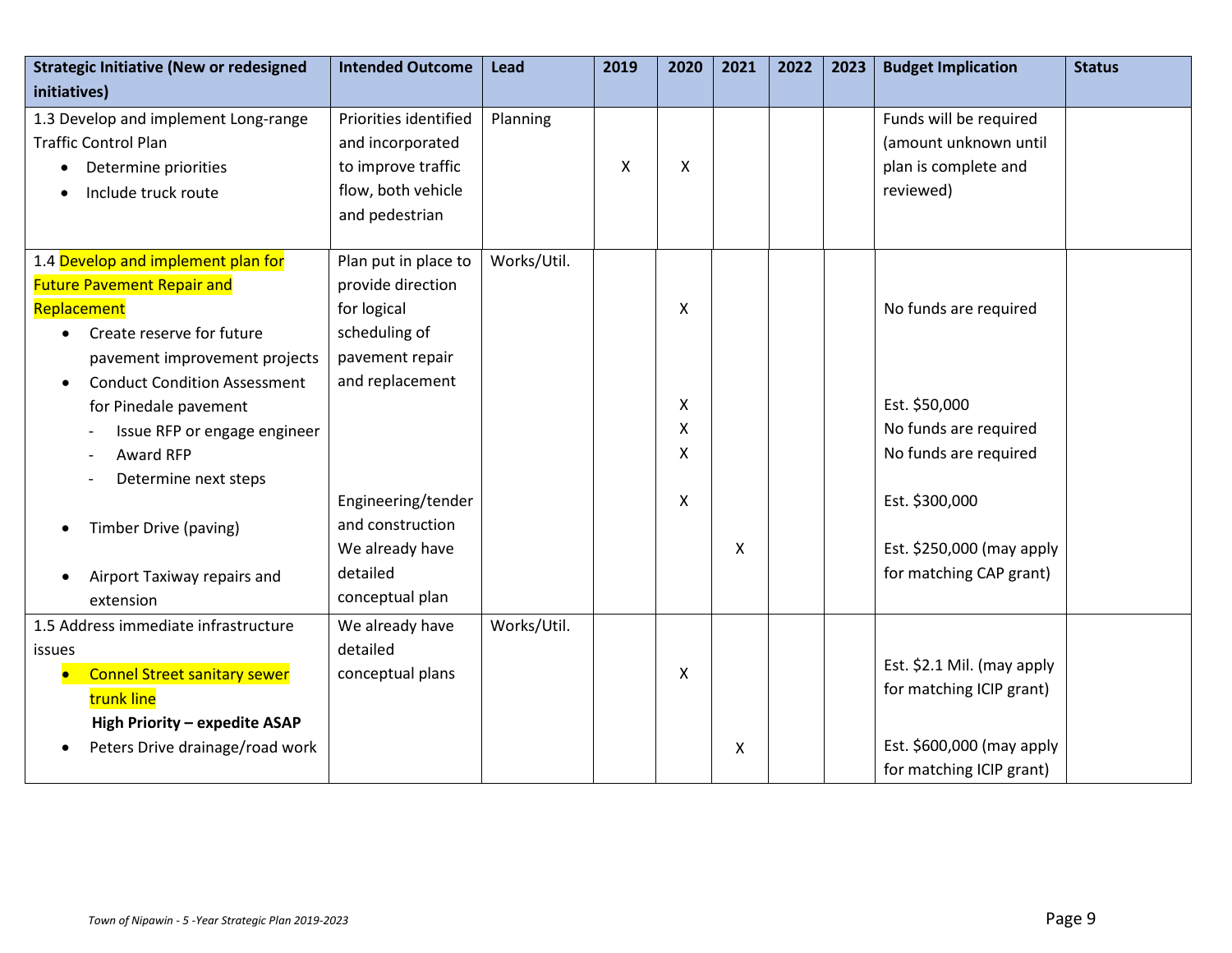| <b>Strategic Initiative (New or redesigned</b><br>initiatives)                                                                              | <b>Intended Outcome</b>                                                               | <b>Lead</b> | 2019           | 2020                     | 2021 | 2022 | 2023 | <b>Budget Implication</b>                                                            | <b>Status</b> |
|---------------------------------------------------------------------------------------------------------------------------------------------|---------------------------------------------------------------------------------------|-------------|----------------|--------------------------|------|------|------|--------------------------------------------------------------------------------------|---------------|
| 1.3 Develop and implement Long-range<br><b>Traffic Control Plan</b><br>Determine priorities<br>Include truck route                          | Priorities identified<br>and incorporated<br>to improve traffic<br>flow, both vehicle | Planning    | $\pmb{\times}$ | X                        |      |      |      | Funds will be required<br>(amount unknown until<br>plan is complete and<br>reviewed) |               |
|                                                                                                                                             | and pedestrian                                                                        |             |                |                          |      |      |      |                                                                                      |               |
| 1.4 Develop and implement plan for<br><b>Future Pavement Repair and</b><br>Replacement<br>Create reserve for future                         | Plan put in place to<br>provide direction<br>for logical<br>scheduling of             | Works/Util. |                | X                        |      |      |      | No funds are required                                                                |               |
| pavement improvement projects<br><b>Conduct Condition Assessment</b><br>$\bullet$                                                           | pavement repair<br>and replacement                                                    |             |                |                          |      |      |      |                                                                                      |               |
| for Pinedale pavement<br>Issue RFP or engage engineer<br>Award RFP                                                                          |                                                                                       |             |                | $\pmb{\times}$<br>X<br>X |      |      |      | Est. \$50,000<br>No funds are required<br>No funds are required                      |               |
| Determine next steps<br>Timber Drive (paving)                                                                                               | Engineering/tender<br>and construction<br>We already have                             |             |                | $\mathsf{X}$             | X    |      |      | Est. \$300,000<br>Est. \$250,000 (may apply                                          |               |
| Airport Taxiway repairs and<br>extension                                                                                                    | detailed<br>conceptual plan                                                           |             |                |                          |      |      |      | for matching CAP grant)                                                              |               |
| 1.5 Address immediate infrastructure<br><i>issues</i><br><b>Connel Street sanitary sewer</b><br>trunk line<br>High Priority - expedite ASAP | We already have<br>detailed<br>conceptual plans                                       | Works/Util. |                | X                        |      |      |      | Est. \$2.1 Mil. (may apply<br>for matching ICIP grant)                               |               |
| Peters Drive drainage/road work                                                                                                             |                                                                                       |             |                |                          | X    |      |      | Est. \$600,000 (may apply<br>for matching ICIP grant)                                |               |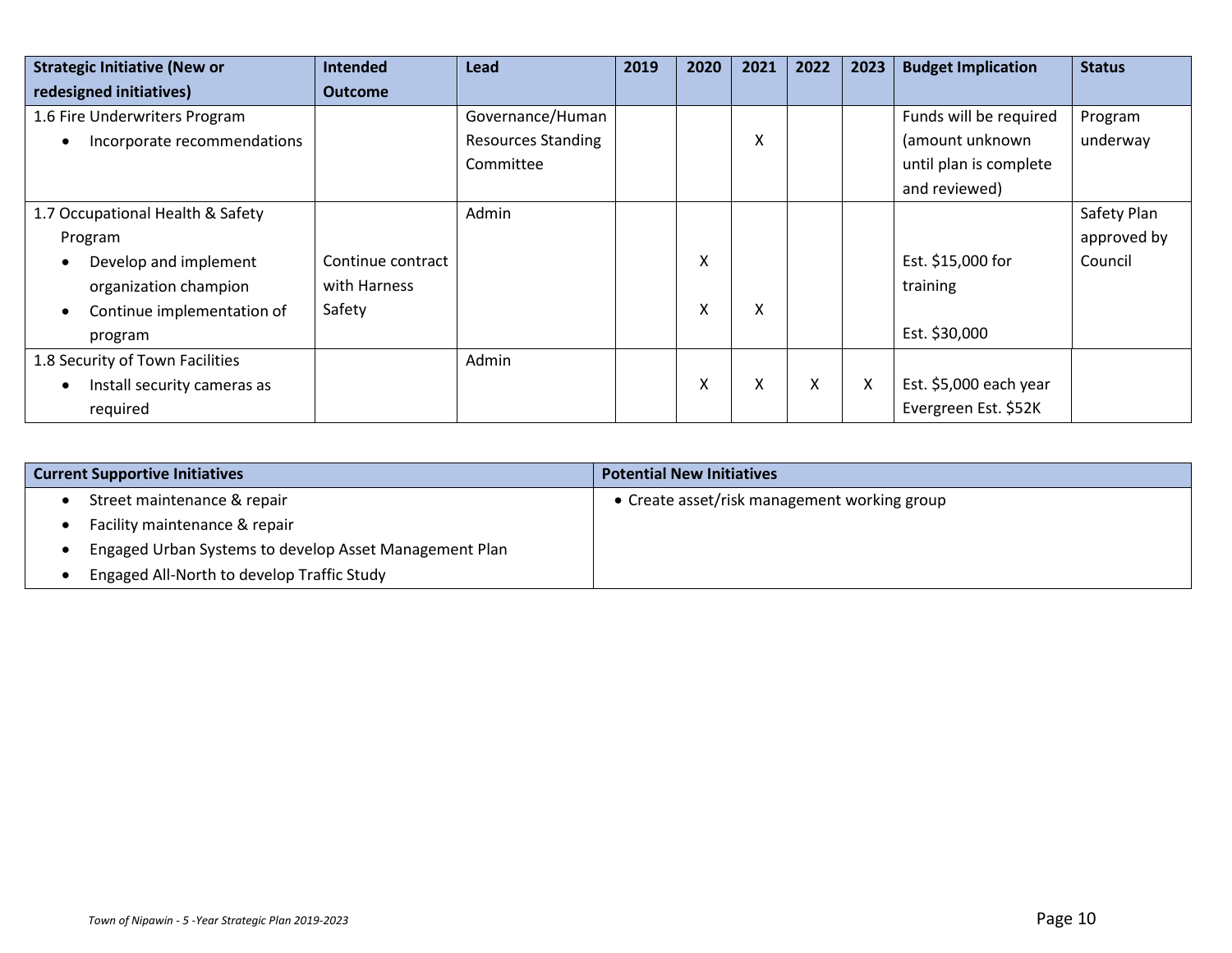| <b>Strategic Initiative (New or</b>      | <b>Intended</b>   | Lead                      | 2019 | 2020 | 2021 | 2022 | 2023 | <b>Budget Implication</b> | <b>Status</b> |
|------------------------------------------|-------------------|---------------------------|------|------|------|------|------|---------------------------|---------------|
| redesigned initiatives)                  | <b>Outcome</b>    |                           |      |      |      |      |      |                           |               |
| 1.6 Fire Underwriters Program            |                   | Governance/Human          |      |      |      |      |      | Funds will be required    | Program       |
| Incorporate recommendations<br>$\bullet$ |                   | <b>Resources Standing</b> |      |      | v    |      |      | (amount unknown           | underway      |
|                                          |                   | Committee                 |      |      |      |      |      | until plan is complete    |               |
|                                          |                   |                           |      |      |      |      |      | and reviewed)             |               |
| 1.7 Occupational Health & Safety         |                   | Admin                     |      |      |      |      |      |                           | Safety Plan   |
| Program                                  |                   |                           |      |      |      |      |      |                           | approved by   |
| Develop and implement                    | Continue contract |                           |      | X    |      |      |      | Est. \$15,000 for         | Council       |
| organization champion                    | with Harness      |                           |      |      |      |      |      | training                  |               |
| Continue implementation of<br>$\bullet$  | Safety            |                           |      | X    | x    |      |      |                           |               |
| program                                  |                   |                           |      |      |      |      |      | Est. \$30,000             |               |
| 1.8 Security of Town Facilities          |                   | Admin                     |      |      |      |      |      |                           |               |
| Install security cameras as              |                   |                           |      | X    | x    | X    | X    | Est. \$5,000 each year    |               |
| required                                 |                   |                           |      |      |      |      |      | Evergreen Est. \$52K      |               |

| <b>Current Supportive Initiatives</b>                  | <b>Potential New Initiatives</b>             |
|--------------------------------------------------------|----------------------------------------------|
| Street maintenance & repair                            | • Create asset/risk management working group |
| Facility maintenance & repair                          |                                              |
| Engaged Urban Systems to develop Asset Management Plan |                                              |
| Engaged All-North to develop Traffic Study             |                                              |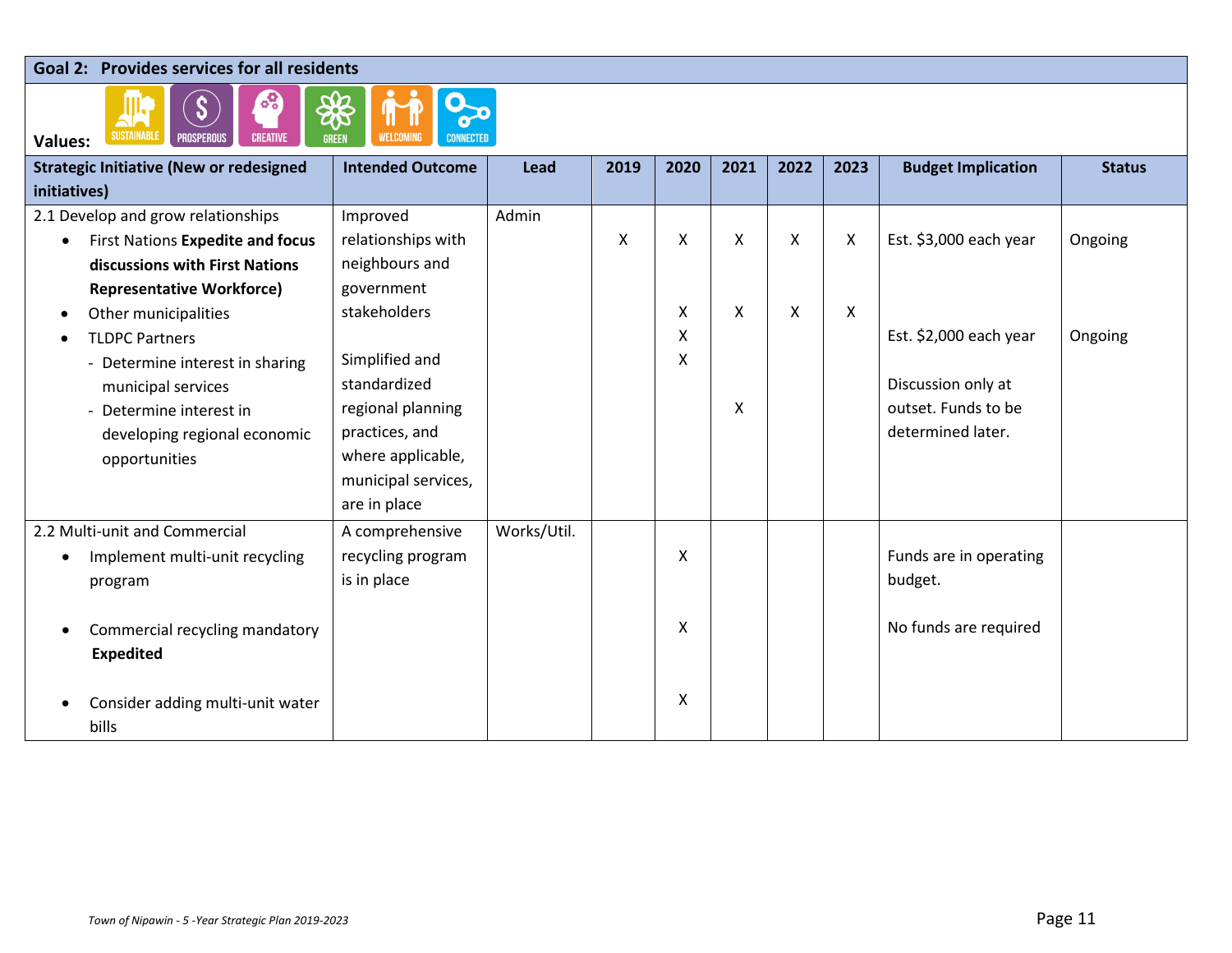#### **Goal 2: Provides services for all residents**



| <b>Strategic Initiative (New or redesigned</b> | <b>Intended Outcome</b> | Lead        | 2019 | 2020 | 2021                      | 2022 | 2023 | <b>Budget Implication</b> | <b>Status</b> |
|------------------------------------------------|-------------------------|-------------|------|------|---------------------------|------|------|---------------------------|---------------|
| initiatives)                                   |                         |             |      |      |                           |      |      |                           |               |
| 2.1 Develop and grow relationships             | Improved                | Admin       |      |      |                           |      |      |                           |               |
| First Nations Expedite and focus<br>$\bullet$  | relationships with      |             | Χ    | X    | $\boldsymbol{\mathsf{X}}$ | X    | X    | Est. \$3,000 each year    | Ongoing       |
| discussions with First Nations                 | neighbours and          |             |      |      |                           |      |      |                           |               |
| <b>Representative Workforce)</b>               | government              |             |      |      |                           |      |      |                           |               |
| Other municipalities                           | stakeholders            |             |      | X    | X                         | X    | X    |                           |               |
| <b>TLDPC Partners</b>                          |                         |             |      | Χ    |                           |      |      | Est. \$2,000 each year    | Ongoing       |
| - Determine interest in sharing                | Simplified and          |             |      | Χ    |                           |      |      |                           |               |
| municipal services                             | standardized            |             |      |      |                           |      |      | Discussion only at        |               |
| - Determine interest in                        | regional planning       |             |      |      | X                         |      |      | outset. Funds to be       |               |
| developing regional economic                   | practices, and          |             |      |      |                           |      |      | determined later.         |               |
| opportunities                                  | where applicable,       |             |      |      |                           |      |      |                           |               |
|                                                | municipal services,     |             |      |      |                           |      |      |                           |               |
|                                                | are in place            |             |      |      |                           |      |      |                           |               |
| 2.2 Multi-unit and Commercial                  | A comprehensive         | Works/Util. |      |      |                           |      |      |                           |               |
| Implement multi-unit recycling                 | recycling program       |             |      | X    |                           |      |      | Funds are in operating    |               |
| program                                        | is in place             |             |      |      |                           |      |      | budget.                   |               |
|                                                |                         |             |      |      |                           |      |      |                           |               |
| Commercial recycling mandatory                 |                         |             |      | X    |                           |      |      | No funds are required     |               |
| <b>Expedited</b>                               |                         |             |      |      |                           |      |      |                           |               |
|                                                |                         |             |      |      |                           |      |      |                           |               |
| Consider adding multi-unit water               |                         |             |      | X    |                           |      |      |                           |               |
| bills                                          |                         |             |      |      |                           |      |      |                           |               |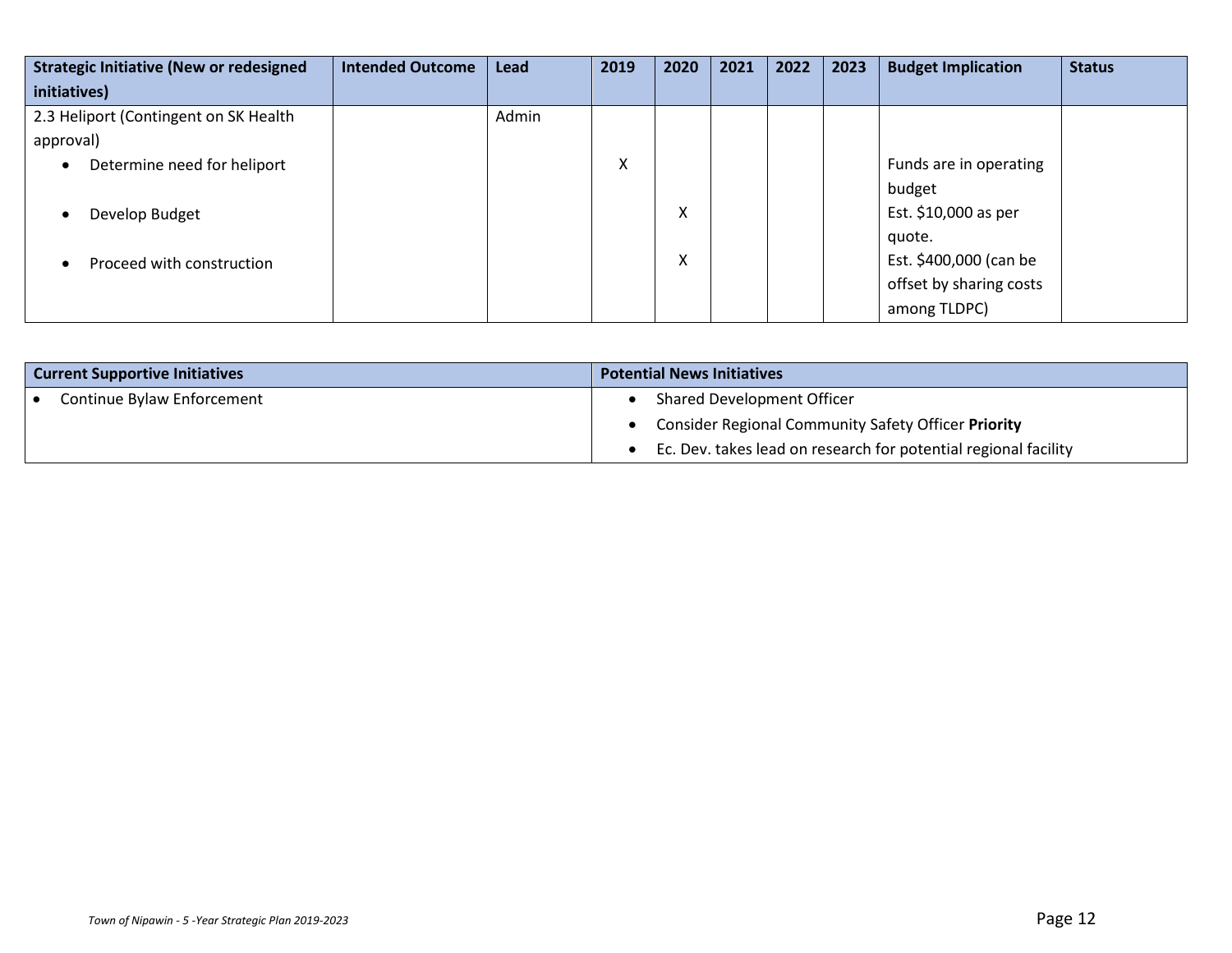| <b>Strategic Initiative (New or redesigned</b> | <b>Intended Outcome</b> | <b>Lead</b> | 2019 | 2020                      | 2021 | 2022 | 2023 | <b>Budget Implication</b> | <b>Status</b> |
|------------------------------------------------|-------------------------|-------------|------|---------------------------|------|------|------|---------------------------|---------------|
| initiatives)                                   |                         |             |      |                           |      |      |      |                           |               |
| 2.3 Heliport (Contingent on SK Health          |                         | Admin       |      |                           |      |      |      |                           |               |
| approval)                                      |                         |             |      |                           |      |      |      |                           |               |
| Determine need for heliport                    |                         |             | Χ    |                           |      |      |      | Funds are in operating    |               |
|                                                |                         |             |      |                           |      |      |      | budget                    |               |
| Develop Budget                                 |                         |             |      | X                         |      |      |      | Est. \$10,000 as per      |               |
|                                                |                         |             |      |                           |      |      |      | quote.                    |               |
| Proceed with construction                      |                         |             |      | $\checkmark$<br>$\lambda$ |      |      |      | Est. \$400,000 (can be    |               |
|                                                |                         |             |      |                           |      |      |      | offset by sharing costs   |               |
|                                                |                         |             |      |                           |      |      |      | among TLDPC)              |               |

| <b>Current Supportive Initiatives</b> | <b>Potential News Initiatives</b>                               |
|---------------------------------------|-----------------------------------------------------------------|
| Continue Bylaw Enforcement            | Shared Development Officer                                      |
|                                       | <b>Consider Regional Community Safety Officer Priority</b>      |
|                                       | Ec. Dev. takes lead on research for potential regional facility |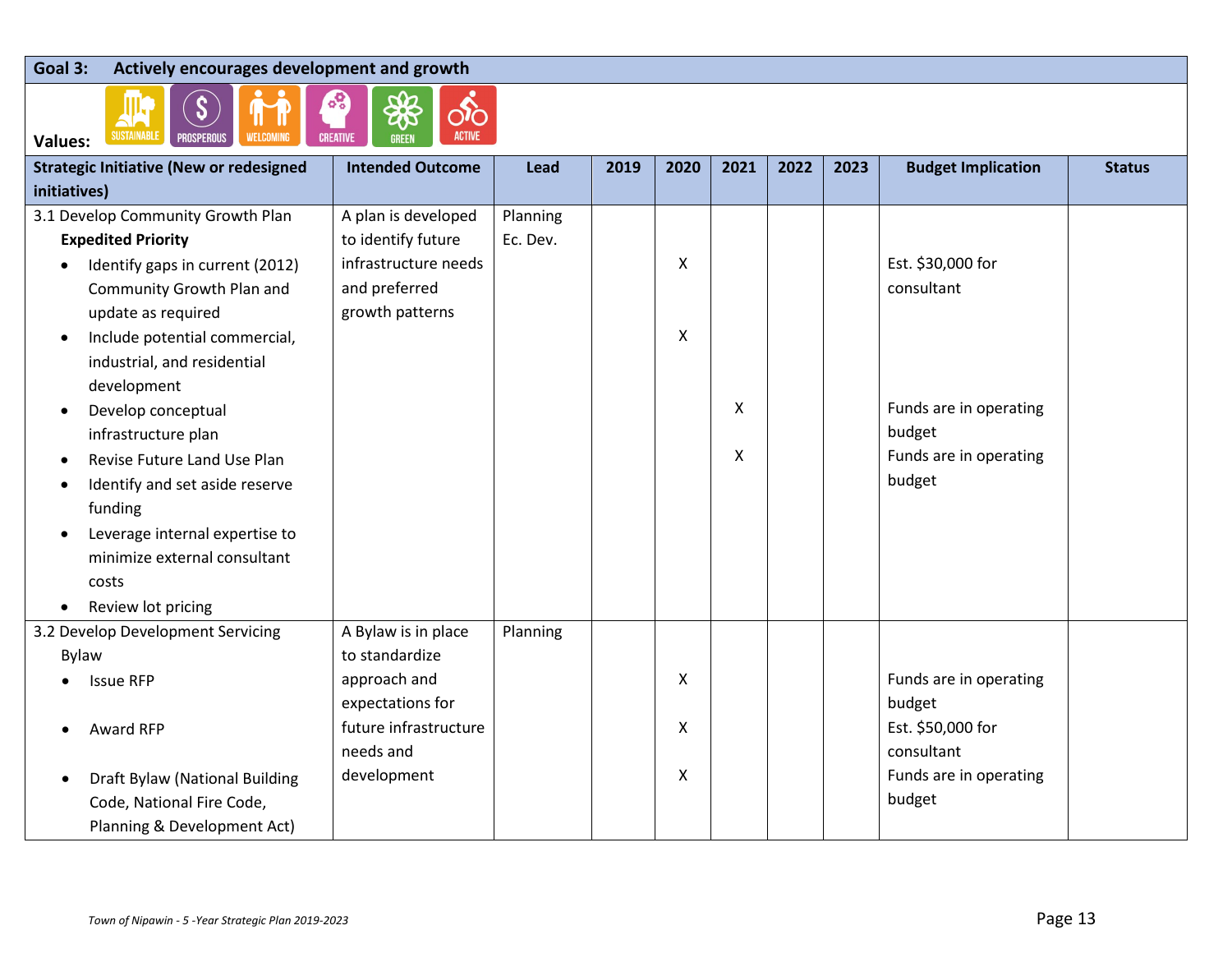### **Goal 3: Actively encourages development and growth**



| SUSTAINABLE<br>WELCOMING<br><b>CREATIVE</b><br><b>ACTIVE</b><br><b>PROSPEROUS</b><br><b>GREEN</b><br><b>Values:</b> |                         |          |      |      |      |      |      |                           |               |  |  |
|---------------------------------------------------------------------------------------------------------------------|-------------------------|----------|------|------|------|------|------|---------------------------|---------------|--|--|
| <b>Strategic Initiative (New or redesigned</b>                                                                      | <b>Intended Outcome</b> | Lead     | 2019 | 2020 | 2021 | 2022 | 2023 | <b>Budget Implication</b> | <b>Status</b> |  |  |
| initiatives)                                                                                                        |                         |          |      |      |      |      |      |                           |               |  |  |
| 3.1 Develop Community Growth Plan                                                                                   | A plan is developed     | Planning |      |      |      |      |      |                           |               |  |  |
| <b>Expedited Priority</b>                                                                                           | to identify future      | Ec. Dev. |      |      |      |      |      |                           |               |  |  |
| Identify gaps in current (2012)                                                                                     | infrastructure needs    |          |      | X    |      |      |      | Est. \$30,000 for         |               |  |  |
| Community Growth Plan and                                                                                           | and preferred           |          |      |      |      |      |      | consultant                |               |  |  |
| update as required                                                                                                  | growth patterns         |          |      |      |      |      |      |                           |               |  |  |
| Include potential commercial,<br>$\bullet$                                                                          |                         |          |      | X    |      |      |      |                           |               |  |  |
| industrial, and residential                                                                                         |                         |          |      |      |      |      |      |                           |               |  |  |
| development                                                                                                         |                         |          |      |      |      |      |      |                           |               |  |  |
| Develop conceptual<br>$\bullet$                                                                                     |                         |          |      |      | x    |      |      | Funds are in operating    |               |  |  |
| infrastructure plan                                                                                                 |                         |          |      |      |      |      |      | budget                    |               |  |  |
| Revise Future Land Use Plan                                                                                         |                         |          |      |      | X    |      |      | Funds are in operating    |               |  |  |
| Identify and set aside reserve                                                                                      |                         |          |      |      |      |      |      | budget                    |               |  |  |
| funding                                                                                                             |                         |          |      |      |      |      |      |                           |               |  |  |
| Leverage internal expertise to<br>٠                                                                                 |                         |          |      |      |      |      |      |                           |               |  |  |
| minimize external consultant                                                                                        |                         |          |      |      |      |      |      |                           |               |  |  |
| costs                                                                                                               |                         |          |      |      |      |      |      |                           |               |  |  |
| Review lot pricing<br>٠                                                                                             |                         |          |      |      |      |      |      |                           |               |  |  |
| 3.2 Develop Development Servicing                                                                                   | A Bylaw is in place     | Planning |      |      |      |      |      |                           |               |  |  |
| Bylaw                                                                                                               | to standardize          |          |      |      |      |      |      |                           |               |  |  |
| <b>Issue RFP</b>                                                                                                    | approach and            |          |      | Χ    |      |      |      | Funds are in operating    |               |  |  |
|                                                                                                                     | expectations for        |          |      |      |      |      |      | budget                    |               |  |  |
| Award RFP                                                                                                           | future infrastructure   |          |      | X    |      |      |      | Est. \$50,000 for         |               |  |  |
|                                                                                                                     | needs and               |          |      |      |      |      |      | consultant                |               |  |  |
| Draft Bylaw (National Building                                                                                      | development             |          |      | X    |      |      |      | Funds are in operating    |               |  |  |
| Code, National Fire Code,                                                                                           |                         |          |      |      |      |      |      | budget                    |               |  |  |
| Planning & Development Act)                                                                                         |                         |          |      |      |      |      |      |                           |               |  |  |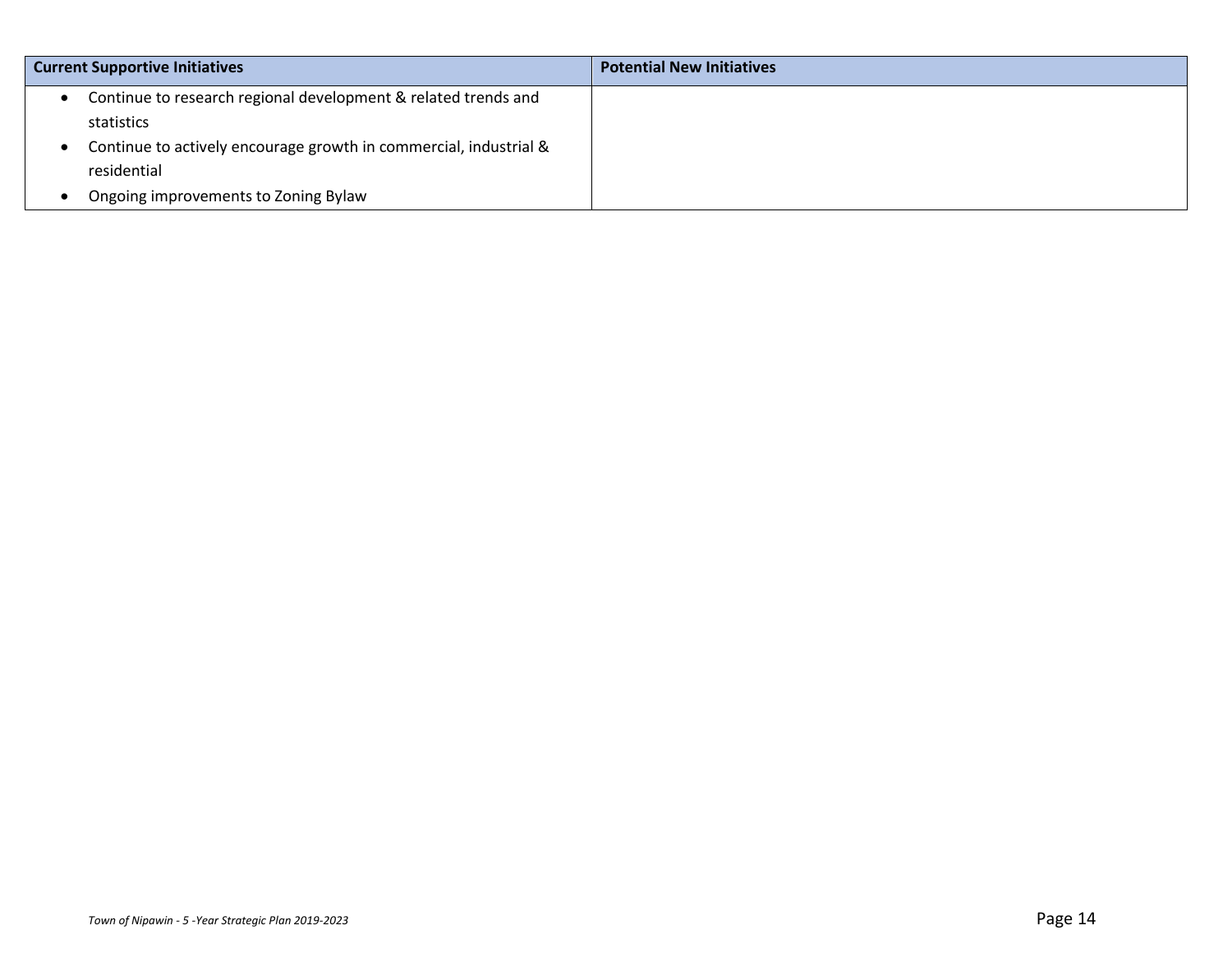| <b>Current Supportive Initiatives</b>                             | <b>Potential New Initiatives</b> |
|-------------------------------------------------------------------|----------------------------------|
| Continue to research regional development & related trends and    |                                  |
| statistics                                                        |                                  |
| Continue to actively encourage growth in commercial, industrial & |                                  |
| residential                                                       |                                  |
| Ongoing improvements to Zoning Bylaw                              |                                  |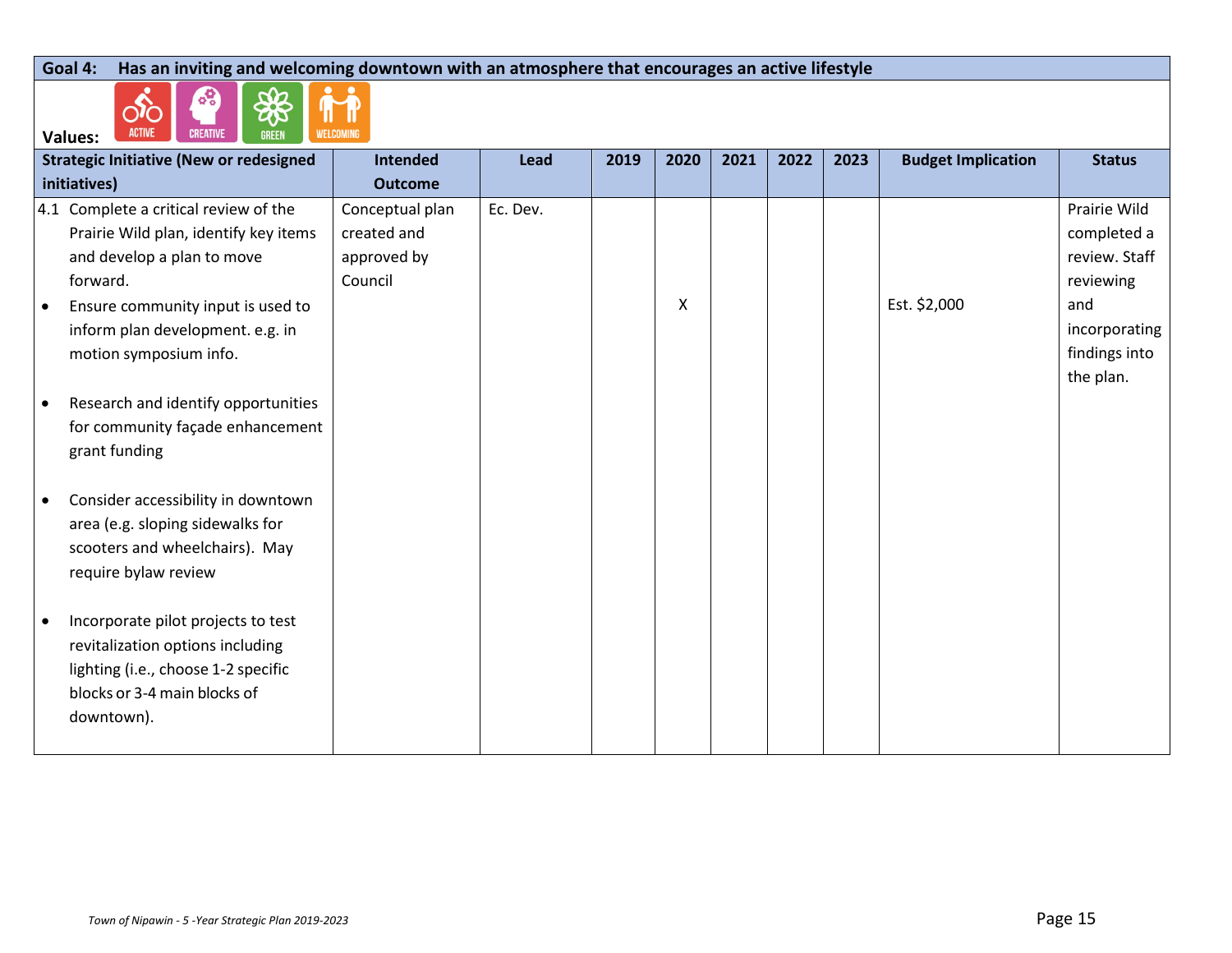#### **Goal 4: Has an inviting and welcoming downtown with an atmosphere that encourages an active lifestyle**

 $\begin{picture}(220,20) \put(0,0){\line(1,0){10}} \put(15,0){\line(1,0){10}} \put(15,0){\line(1,0){10}} \put(15,0){\line(1,0){10}} \put(15,0){\line(1,0){10}} \put(15,0){\line(1,0){10}} \put(15,0){\line(1,0){10}} \put(15,0){\line(1,0){10}} \put(15,0){\line(1,0){10}} \put(15,0){\line(1,0){10}} \put(15,0){\line(1,0){10}} \put(15,0){\line($ 

 $\delta$ S 88

|           | ACTIVE CREATIVE<br>GREEN<br><b>Example 10 WELCOMING</b><br><b>Values:</b> |                 |          |      |      |      |      |      |                           |               |
|-----------|---------------------------------------------------------------------------|-----------------|----------|------|------|------|------|------|---------------------------|---------------|
|           | <b>Strategic Initiative (New or redesigned</b>                            | <b>Intended</b> | Lead     | 2019 | 2020 | 2021 | 2022 | 2023 | <b>Budget Implication</b> | <b>Status</b> |
|           | initiatives)                                                              | <b>Outcome</b>  |          |      |      |      |      |      |                           |               |
|           | 4.1 Complete a critical review of the                                     | Conceptual plan | Ec. Dev. |      |      |      |      |      |                           | Prairie Wild  |
|           | Prairie Wild plan, identify key items                                     | created and     |          |      |      |      |      |      |                           | completed a   |
|           | and develop a plan to move                                                | approved by     |          |      |      |      |      |      |                           | review. Staff |
|           | forward.                                                                  | Council         |          |      |      |      |      |      |                           | reviewing     |
| $\bullet$ | Ensure community input is used to                                         |                 |          |      | X    |      |      |      | Est. \$2,000              | and           |
|           | inform plan development. e.g. in                                          |                 |          |      |      |      |      |      |                           | incorporating |
|           | motion symposium info.                                                    |                 |          |      |      |      |      |      |                           | findings into |
|           |                                                                           |                 |          |      |      |      |      |      |                           | the plan.     |
| $\bullet$ | Research and identify opportunities                                       |                 |          |      |      |      |      |      |                           |               |
|           | for community façade enhancement                                          |                 |          |      |      |      |      |      |                           |               |
|           | grant funding                                                             |                 |          |      |      |      |      |      |                           |               |
|           |                                                                           |                 |          |      |      |      |      |      |                           |               |
| $\bullet$ | Consider accessibility in downtown                                        |                 |          |      |      |      |      |      |                           |               |
|           | area (e.g. sloping sidewalks for                                          |                 |          |      |      |      |      |      |                           |               |
|           | scooters and wheelchairs). May                                            |                 |          |      |      |      |      |      |                           |               |
|           | require bylaw review                                                      |                 |          |      |      |      |      |      |                           |               |
|           |                                                                           |                 |          |      |      |      |      |      |                           |               |
| $\bullet$ | Incorporate pilot projects to test                                        |                 |          |      |      |      |      |      |                           |               |
|           | revitalization options including                                          |                 |          |      |      |      |      |      |                           |               |
|           | lighting (i.e., choose 1-2 specific                                       |                 |          |      |      |      |      |      |                           |               |
|           | blocks or 3-4 main blocks of                                              |                 |          |      |      |      |      |      |                           |               |
|           | downtown).                                                                |                 |          |      |      |      |      |      |                           |               |
|           |                                                                           |                 |          |      |      |      |      |      |                           |               |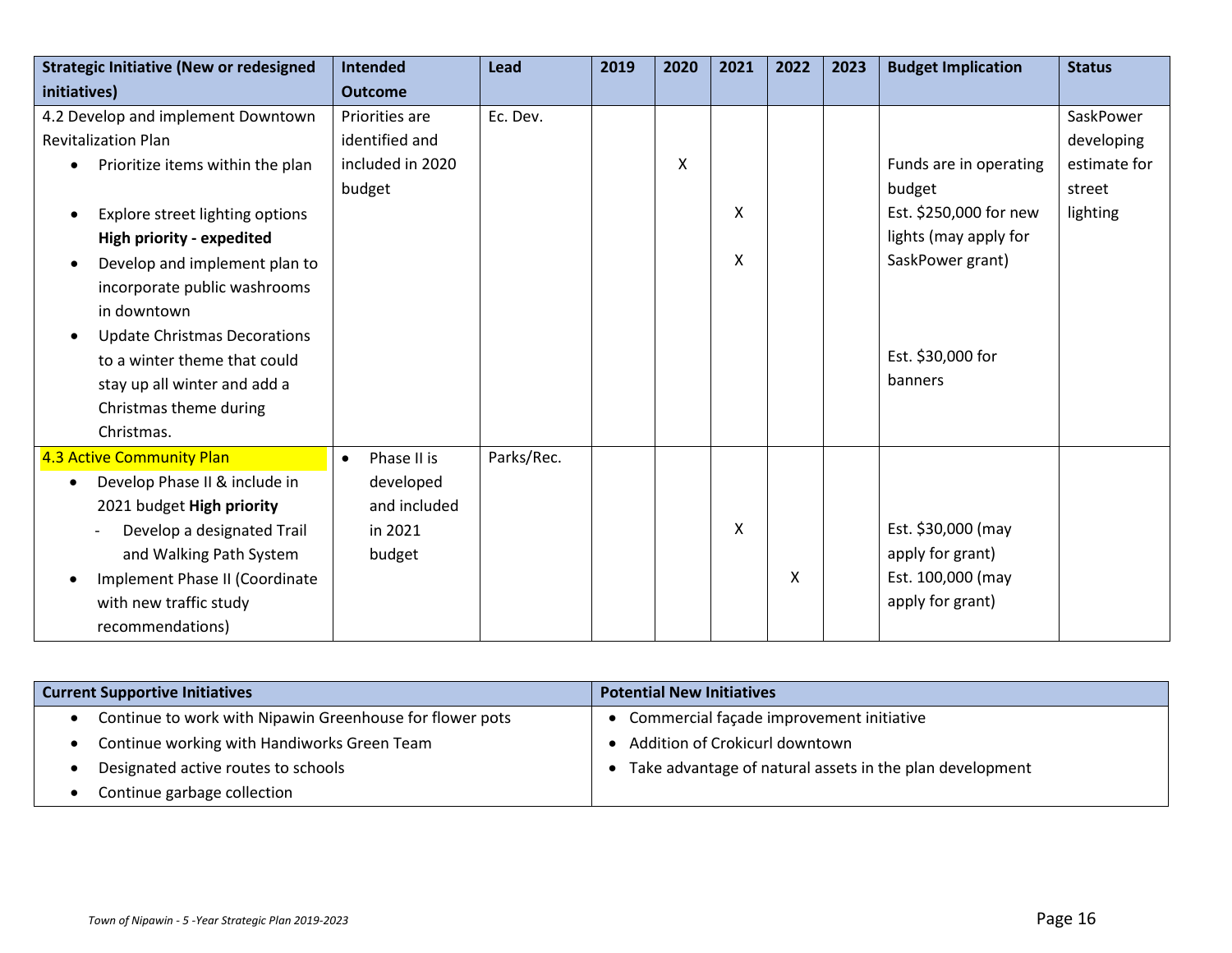| <b>Strategic Initiative (New or redesigned</b>   | <b>Intended</b>          | Lead       | 2019 | 2020 | 2021 | 2022 | 2023 | <b>Budget Implication</b> | <b>Status</b> |
|--------------------------------------------------|--------------------------|------------|------|------|------|------|------|---------------------------|---------------|
| initiatives)                                     | <b>Outcome</b>           |            |      |      |      |      |      |                           |               |
| 4.2 Develop and implement Downtown               | Priorities are           | Ec. Dev.   |      |      |      |      |      |                           | SaskPower     |
| <b>Revitalization Plan</b>                       | identified and           |            |      |      |      |      |      |                           | developing    |
| Prioritize items within the plan<br>$\bullet$    | included in 2020         |            |      | X    |      |      |      | Funds are in operating    | estimate for  |
|                                                  | budget                   |            |      |      |      |      |      | budget                    | street        |
| Explore street lighting options<br>$\bullet$     |                          |            |      |      | X    |      |      | Est. \$250,000 for new    | lighting      |
| High priority - expedited                        |                          |            |      |      |      |      |      | lights (may apply for     |               |
| Develop and implement plan to<br>$\bullet$       |                          |            |      |      | X    |      |      | SaskPower grant)          |               |
| incorporate public washrooms                     |                          |            |      |      |      |      |      |                           |               |
| in downtown                                      |                          |            |      |      |      |      |      |                           |               |
| <b>Update Christmas Decorations</b><br>$\bullet$ |                          |            |      |      |      |      |      |                           |               |
| to a winter theme that could                     |                          |            |      |      |      |      |      | Est. \$30,000 for         |               |
| stay up all winter and add a                     |                          |            |      |      |      |      |      | banners                   |               |
| Christmas theme during                           |                          |            |      |      |      |      |      |                           |               |
| Christmas.                                       |                          |            |      |      |      |      |      |                           |               |
| 4.3 Active Community Plan                        | Phase II is<br>$\bullet$ | Parks/Rec. |      |      |      |      |      |                           |               |
| Develop Phase II & include in<br>$\bullet$       | developed                |            |      |      |      |      |      |                           |               |
| 2021 budget High priority                        | and included             |            |      |      |      |      |      |                           |               |
| Develop a designated Trail                       | in 2021                  |            |      |      | X    |      |      | Est. \$30,000 (may        |               |
| and Walking Path System                          | budget                   |            |      |      |      |      |      | apply for grant)          |               |
| Implement Phase II (Coordinate                   |                          |            |      |      |      | X    |      | Est. 100,000 (may         |               |
| with new traffic study                           |                          |            |      |      |      |      |      | apply for grant)          |               |
| recommendations)                                 |                          |            |      |      |      |      |      |                           |               |

| <b>Current Supportive Initiatives</b>                    | <b>Potential New Initiatives</b>                         |  |  |  |  |  |  |  |
|----------------------------------------------------------|----------------------------------------------------------|--|--|--|--|--|--|--|
| Continue to work with Nipawin Greenhouse for flower pots | Commercial façade improvement initiative                 |  |  |  |  |  |  |  |
| Continue working with Handiworks Green Team              | Addition of Crokicurl downtown                           |  |  |  |  |  |  |  |
| Designated active routes to schools                      | Take advantage of natural assets in the plan development |  |  |  |  |  |  |  |
| Continue garbage collection                              |                                                          |  |  |  |  |  |  |  |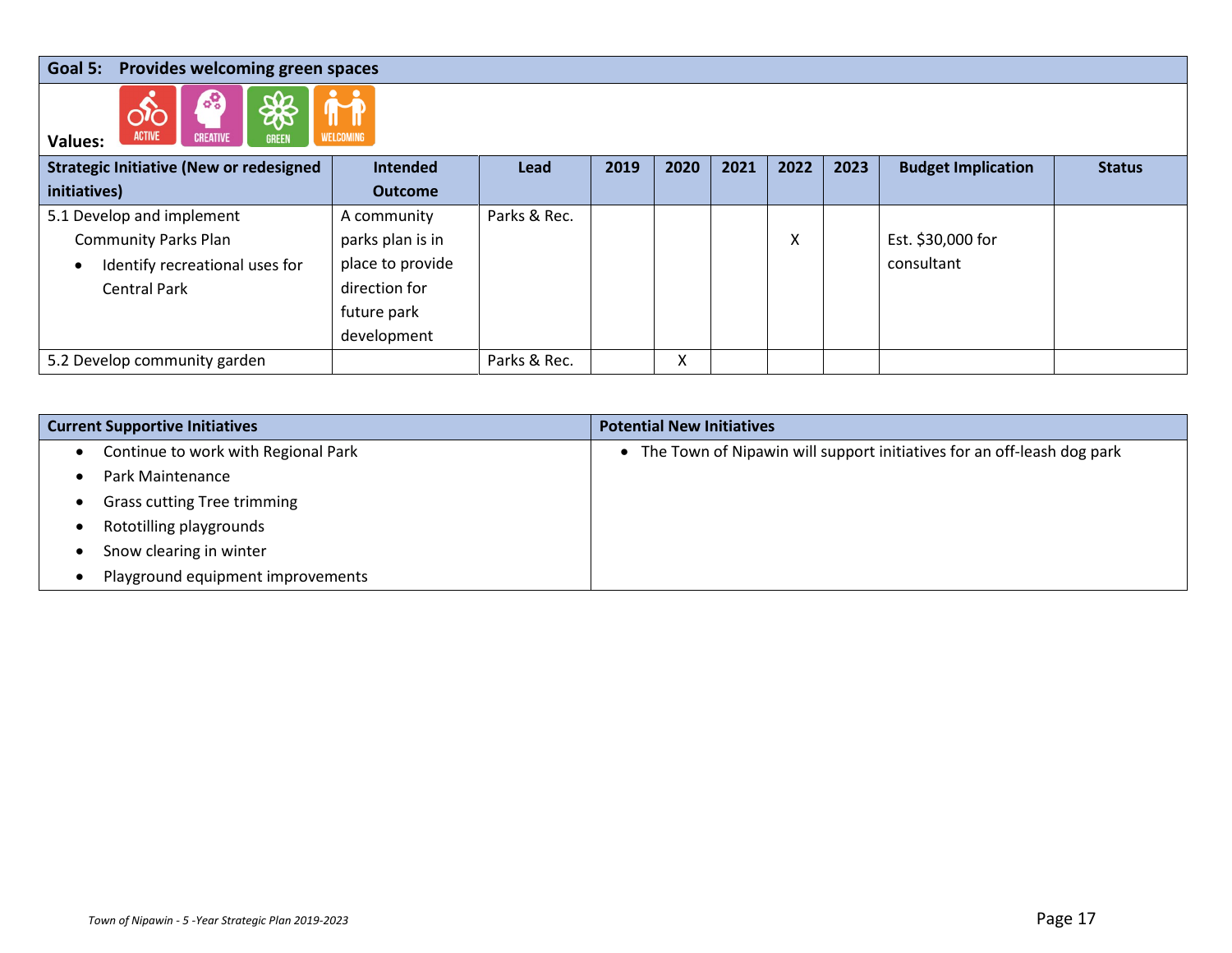### **Goal 5: Provides welcoming green spaces**



| <b>ACTIVE</b><br><b>CREATIVE</b><br><b>WELCOMING</b><br><b>GREEN</b><br><b>Values:</b> |                  |              |      |      |      |        |      |                           |               |
|----------------------------------------------------------------------------------------|------------------|--------------|------|------|------|--------|------|---------------------------|---------------|
| <b>Strategic Initiative (New or redesigned</b>                                         | <b>Intended</b>  | <b>Lead</b>  | 2019 | 2020 | 2021 | 2022   | 2023 | <b>Budget Implication</b> | <b>Status</b> |
| initiatives)                                                                           | <b>Outcome</b>   |              |      |      |      |        |      |                           |               |
| 5.1 Develop and implement                                                              | A community      | Parks & Rec. |      |      |      |        |      |                           |               |
| <b>Community Parks Plan</b>                                                            | parks plan is in |              |      |      |      | v<br>Λ |      | Est. \$30,000 for         |               |
| Identify recreational uses for<br>$\bullet$                                            | place to provide |              |      |      |      |        |      | consultant                |               |
| <b>Central Park</b>                                                                    | direction for    |              |      |      |      |        |      |                           |               |
|                                                                                        | future park      |              |      |      |      |        |      |                           |               |
|                                                                                        | development      |              |      |      |      |        |      |                           |               |
| 5.2 Develop community garden                                                           |                  | Parks & Rec. |      | X    |      |        |      |                           |               |

| <b>Current Supportive Initiatives</b>            | <b>Potential New Initiatives</b>                                         |
|--------------------------------------------------|--------------------------------------------------------------------------|
| Continue to work with Regional Park<br>$\bullet$ | • The Town of Nipawin will support initiatives for an off-leash dog park |
| Park Maintenance                                 |                                                                          |
| <b>Grass cutting Tree trimming</b>               |                                                                          |
| Rototilling playgrounds                          |                                                                          |
| Snow clearing in winter                          |                                                                          |
| Playground equipment improvements                |                                                                          |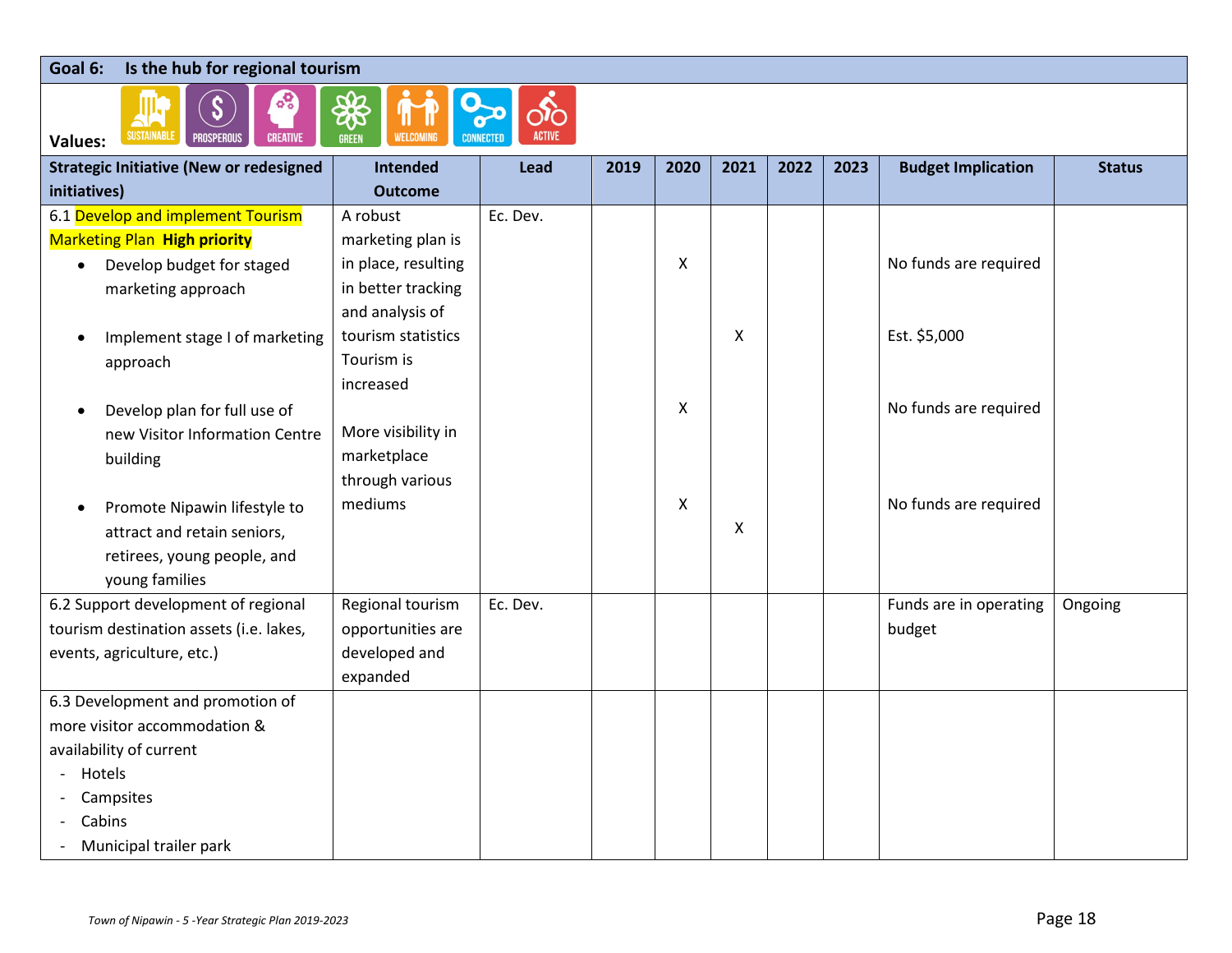#### **Goal 6: Is the hub for regional tourism**



| <b>Strategic Initiative (New or redesigned</b> | Intended            | Lead     | 2019 | 2020 | 2021 | 2022 | 2023 | <b>Budget Implication</b> | <b>Status</b> |
|------------------------------------------------|---------------------|----------|------|------|------|------|------|---------------------------|---------------|
| initiatives)                                   | <b>Outcome</b>      |          |      |      |      |      |      |                           |               |
| 6.1 Develop and implement Tourism              | A robust            | Ec. Dev. |      |      |      |      |      |                           |               |
| <b>Marketing Plan High priority</b>            | marketing plan is   |          |      |      |      |      |      |                           |               |
| Develop budget for staged<br>$\bullet$         | in place, resulting |          |      | X    |      |      |      | No funds are required     |               |
| marketing approach                             | in better tracking  |          |      |      |      |      |      |                           |               |
|                                                | and analysis of     |          |      |      |      |      |      |                           |               |
| Implement stage I of marketing<br>$\bullet$    | tourism statistics  |          |      |      | X    |      |      | Est. \$5,000              |               |
| approach                                       | Tourism is          |          |      |      |      |      |      |                           |               |
|                                                | increased           |          |      |      |      |      |      |                           |               |
| Develop plan for full use of<br>$\bullet$      |                     |          |      | X    |      |      |      | No funds are required     |               |
| new Visitor Information Centre                 | More visibility in  |          |      |      |      |      |      |                           |               |
| building                                       | marketplace         |          |      |      |      |      |      |                           |               |
|                                                | through various     |          |      |      |      |      |      |                           |               |
| Promote Nipawin lifestyle to<br>$\bullet$      | mediums             |          |      | X    |      |      |      | No funds are required     |               |
| attract and retain seniors,                    |                     |          |      |      | X    |      |      |                           |               |
| retirees, young people, and                    |                     |          |      |      |      |      |      |                           |               |
| young families                                 |                     |          |      |      |      |      |      |                           |               |
| 6.2 Support development of regional            | Regional tourism    | Ec. Dev. |      |      |      |      |      | Funds are in operating    | Ongoing       |
| tourism destination assets (i.e. lakes,        | opportunities are   |          |      |      |      |      |      | budget                    |               |
| events, agriculture, etc.)                     | developed and       |          |      |      |      |      |      |                           |               |
|                                                | expanded            |          |      |      |      |      |      |                           |               |
| 6.3 Development and promotion of               |                     |          |      |      |      |      |      |                           |               |
| more visitor accommodation &                   |                     |          |      |      |      |      |      |                           |               |
| availability of current                        |                     |          |      |      |      |      |      |                           |               |
| Hotels<br>$\overline{\phantom{0}}$             |                     |          |      |      |      |      |      |                           |               |
| Campsites                                      |                     |          |      |      |      |      |      |                           |               |
| Cabins                                         |                     |          |      |      |      |      |      |                           |               |
| Municipal trailer park                         |                     |          |      |      |      |      |      |                           |               |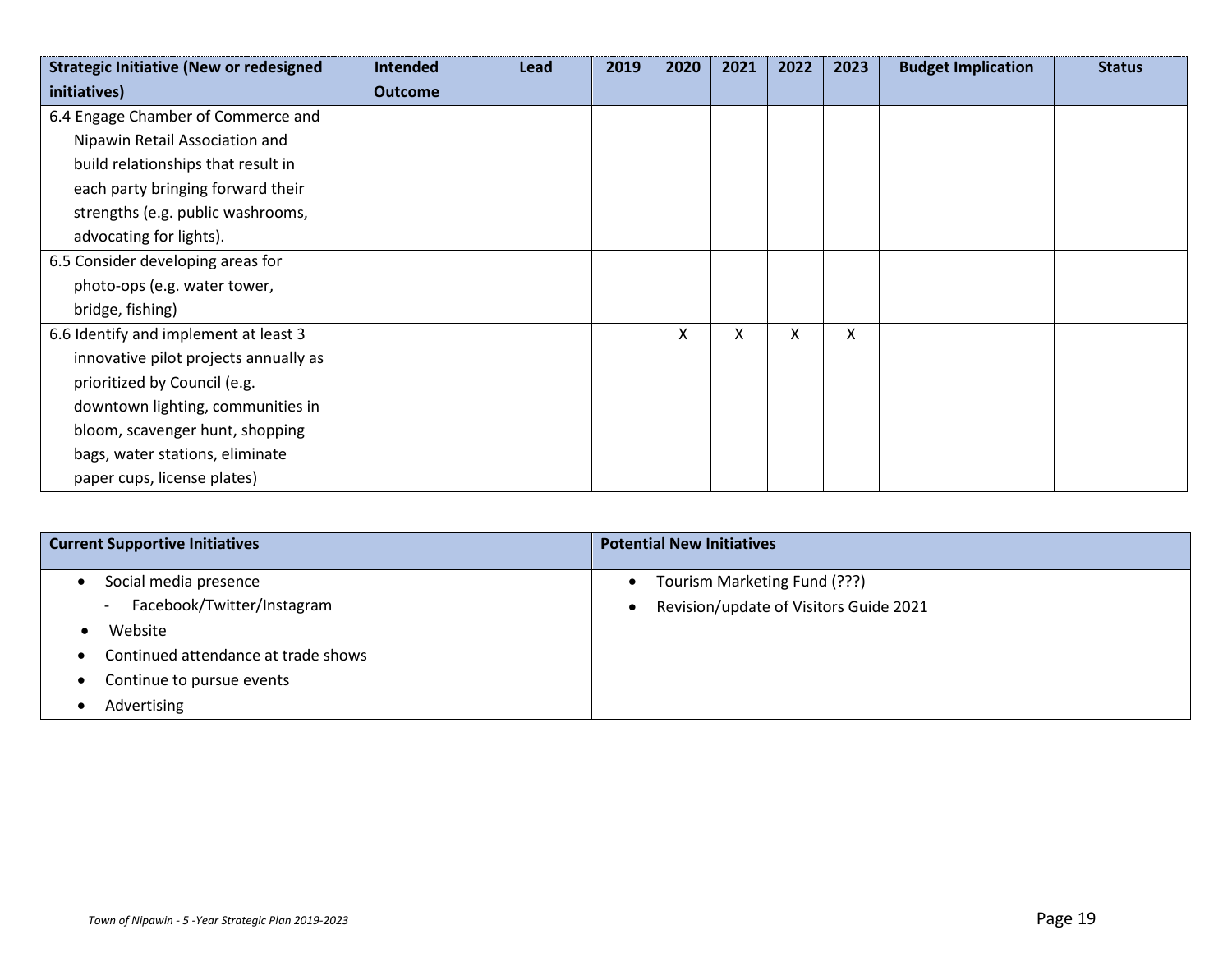| <b>Strategic Initiative (New or redesigned</b> | <b>Intended</b> | Lead | 2019 | 2020 | 2021 | 2022 | 2023 | <b>Budget Implication</b> | <b>Status</b> |
|------------------------------------------------|-----------------|------|------|------|------|------|------|---------------------------|---------------|
| initiatives)                                   | <b>Outcome</b>  |      |      |      |      |      |      |                           |               |
| 6.4 Engage Chamber of Commerce and             |                 |      |      |      |      |      |      |                           |               |
| Nipawin Retail Association and                 |                 |      |      |      |      |      |      |                           |               |
| build relationships that result in             |                 |      |      |      |      |      |      |                           |               |
| each party bringing forward their              |                 |      |      |      |      |      |      |                           |               |
| strengths (e.g. public washrooms,              |                 |      |      |      |      |      |      |                           |               |
| advocating for lights).                        |                 |      |      |      |      |      |      |                           |               |
| 6.5 Consider developing areas for              |                 |      |      |      |      |      |      |                           |               |
| photo-ops (e.g. water tower,                   |                 |      |      |      |      |      |      |                           |               |
| bridge, fishing)                               |                 |      |      |      |      |      |      |                           |               |
| 6.6 Identify and implement at least 3          |                 |      |      | X    | X    | x    | X    |                           |               |
| innovative pilot projects annually as          |                 |      |      |      |      |      |      |                           |               |
| prioritized by Council (e.g.                   |                 |      |      |      |      |      |      |                           |               |
| downtown lighting, communities in              |                 |      |      |      |      |      |      |                           |               |
| bloom, scavenger hunt, shopping                |                 |      |      |      |      |      |      |                           |               |
| bags, water stations, eliminate                |                 |      |      |      |      |      |      |                           |               |
| paper cups, license plates)                    |                 |      |      |      |      |      |      |                           |               |

| <b>Current Supportive Initiatives</b>                  | <b>Potential New Initiatives</b>          |
|--------------------------------------------------------|-------------------------------------------|
| Social media presence                                  | Tourism Marketing Fund (???)<br>$\bullet$ |
| Facebook/Twitter/Instagram<br>$\overline{\phantom{0}}$ | Revision/update of Visitors Guide 2021    |
| Website                                                |                                           |
| Continued attendance at trade shows<br>$\bullet$       |                                           |
| Continue to pursue events<br>$\bullet$                 |                                           |
| Advertising                                            |                                           |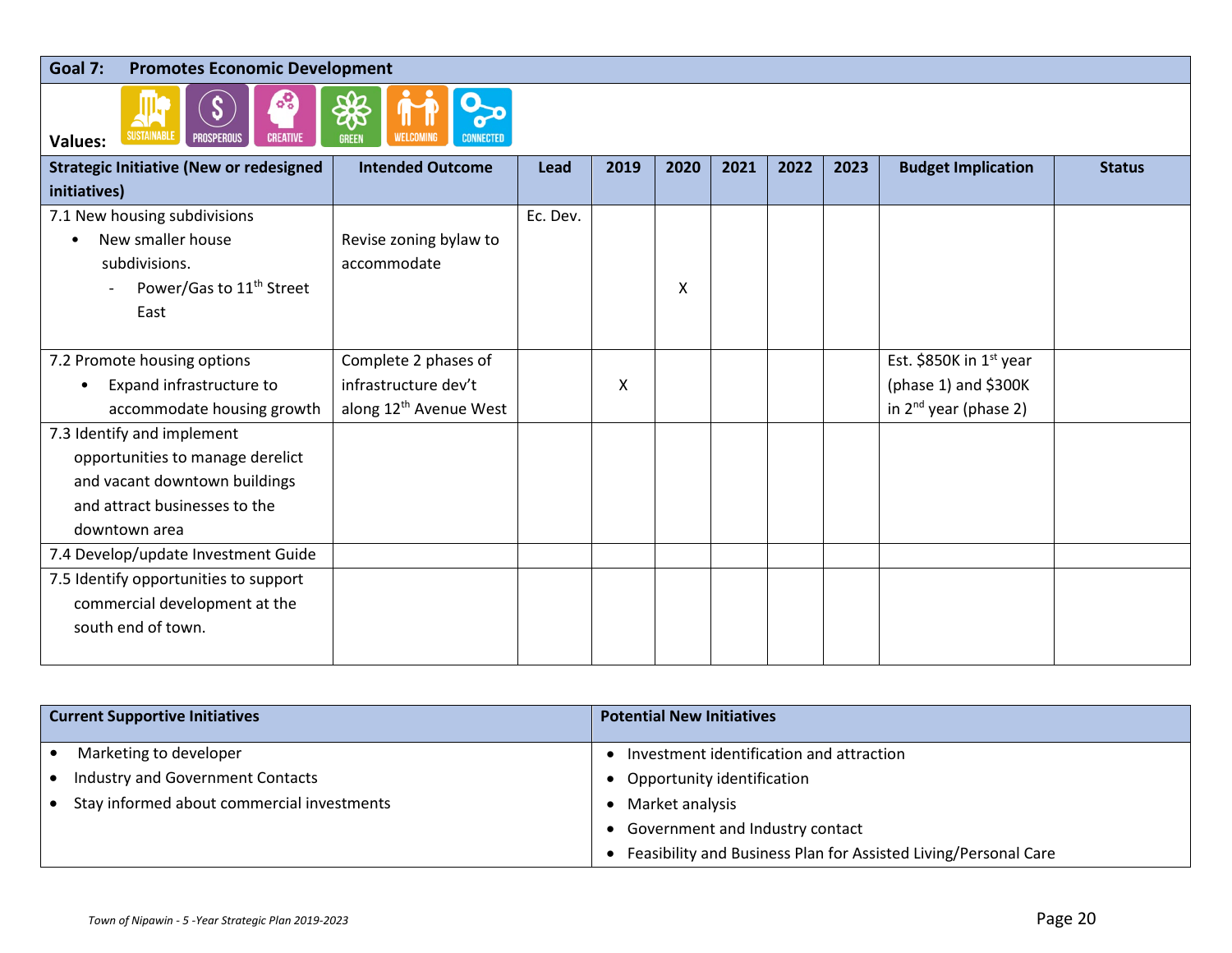### **Goal 7: Promotes Economic Development**



| values.                                        |                                    |          |      |      |      |      |      |                            |               |
|------------------------------------------------|------------------------------------|----------|------|------|------|------|------|----------------------------|---------------|
| <b>Strategic Initiative (New or redesigned</b> | <b>Intended Outcome</b>            | Lead     | 2019 | 2020 | 2021 | 2022 | 2023 | <b>Budget Implication</b>  | <b>Status</b> |
| initiatives)                                   |                                    |          |      |      |      |      |      |                            |               |
| 7.1 New housing subdivisions                   |                                    | Ec. Dev. |      |      |      |      |      |                            |               |
| New smaller house                              | Revise zoning bylaw to             |          |      |      |      |      |      |                            |               |
| subdivisions.                                  | accommodate                        |          |      |      |      |      |      |                            |               |
| Power/Gas to 11 <sup>th</sup> Street           |                                    |          |      | X    |      |      |      |                            |               |
| East                                           |                                    |          |      |      |      |      |      |                            |               |
|                                                |                                    |          |      |      |      |      |      |                            |               |
| 7.2 Promote housing options                    | Complete 2 phases of               |          |      |      |      |      |      | Est. \$850K in $1st$ year  |               |
| Expand infrastructure to                       | infrastructure dev't               |          | X    |      |      |      |      | (phase 1) and $$300K$      |               |
| accommodate housing growth                     | along 12 <sup>th</sup> Avenue West |          |      |      |      |      |      | in $2^{nd}$ year (phase 2) |               |
| 7.3 Identify and implement                     |                                    |          |      |      |      |      |      |                            |               |
| opportunities to manage derelict               |                                    |          |      |      |      |      |      |                            |               |
| and vacant downtown buildings                  |                                    |          |      |      |      |      |      |                            |               |
| and attract businesses to the                  |                                    |          |      |      |      |      |      |                            |               |
| downtown area                                  |                                    |          |      |      |      |      |      |                            |               |
| 7.4 Develop/update Investment Guide            |                                    |          |      |      |      |      |      |                            |               |
| 7.5 Identify opportunities to support          |                                    |          |      |      |      |      |      |                            |               |
| commercial development at the                  |                                    |          |      |      |      |      |      |                            |               |
| south end of town.                             |                                    |          |      |      |      |      |      |                            |               |
|                                                |                                    |          |      |      |      |      |      |                            |               |

| <b>Current Supportive Initiatives</b>      | <b>Potential New Initiatives</b>                                |  |  |  |  |  |  |  |
|--------------------------------------------|-----------------------------------------------------------------|--|--|--|--|--|--|--|
| Marketing to developer                     | Investment identification and attraction                        |  |  |  |  |  |  |  |
| Industry and Government Contacts           | Opportunity identification                                      |  |  |  |  |  |  |  |
| Stay informed about commercial investments | Market analysis                                                 |  |  |  |  |  |  |  |
|                                            | Government and Industry contact                                 |  |  |  |  |  |  |  |
|                                            | Feasibility and Business Plan for Assisted Living/Personal Care |  |  |  |  |  |  |  |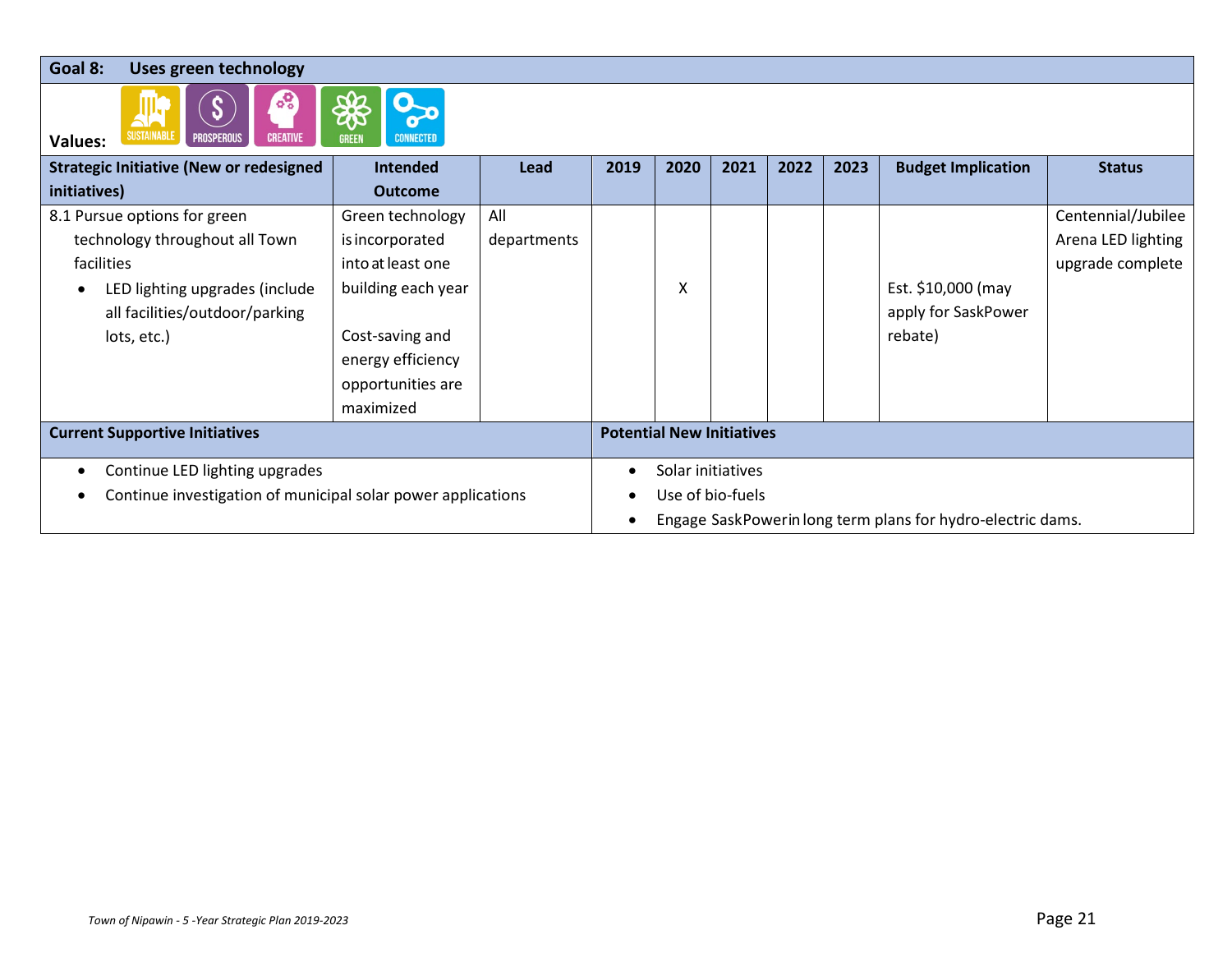**Goal 8: Uses green technology**



O

| vaiucs.                                                      |                    |             |                                  |      |      |      |      |                                                             |                    |  |
|--------------------------------------------------------------|--------------------|-------------|----------------------------------|------|------|------|------|-------------------------------------------------------------|--------------------|--|
| <b>Strategic Initiative (New or redesigned</b>               | <b>Intended</b>    | Lead        | 2019                             | 2020 | 2021 | 2022 | 2023 | <b>Budget Implication</b>                                   | <b>Status</b>      |  |
| initiatives)                                                 | <b>Outcome</b>     |             |                                  |      |      |      |      |                                                             |                    |  |
| 8.1 Pursue options for green                                 | Green technology   | All         |                                  |      |      |      |      |                                                             | Centennial/Jubilee |  |
| technology throughout all Town                               | is incorporated    | departments |                                  |      |      |      |      |                                                             | Arena LED lighting |  |
| facilities                                                   | into at least one  |             |                                  |      |      |      |      |                                                             | upgrade complete   |  |
| LED lighting upgrades (include                               | building each year |             |                                  | Χ    |      |      |      | Est. \$10,000 (may                                          |                    |  |
| all facilities/outdoor/parking                               |                    |             |                                  |      |      |      |      | apply for SaskPower                                         |                    |  |
| lots, etc.)                                                  | Cost-saving and    |             |                                  |      |      |      |      | rebate)                                                     |                    |  |
|                                                              | energy efficiency  |             |                                  |      |      |      |      |                                                             |                    |  |
|                                                              | opportunities are  |             |                                  |      |      |      |      |                                                             |                    |  |
|                                                              | maximized          |             |                                  |      |      |      |      |                                                             |                    |  |
| <b>Current Supportive Initiatives</b>                        |                    |             | <b>Potential New Initiatives</b> |      |      |      |      |                                                             |                    |  |
| Continue LED lighting upgrades<br>٠                          |                    |             | Solar initiatives                |      |      |      |      |                                                             |                    |  |
| Continue investigation of municipal solar power applications |                    |             | Use of bio-fuels                 |      |      |      |      |                                                             |                    |  |
|                                                              |                    |             |                                  |      |      |      |      | Engage SaskPowerin long term plans for hydro-electric dams. |                    |  |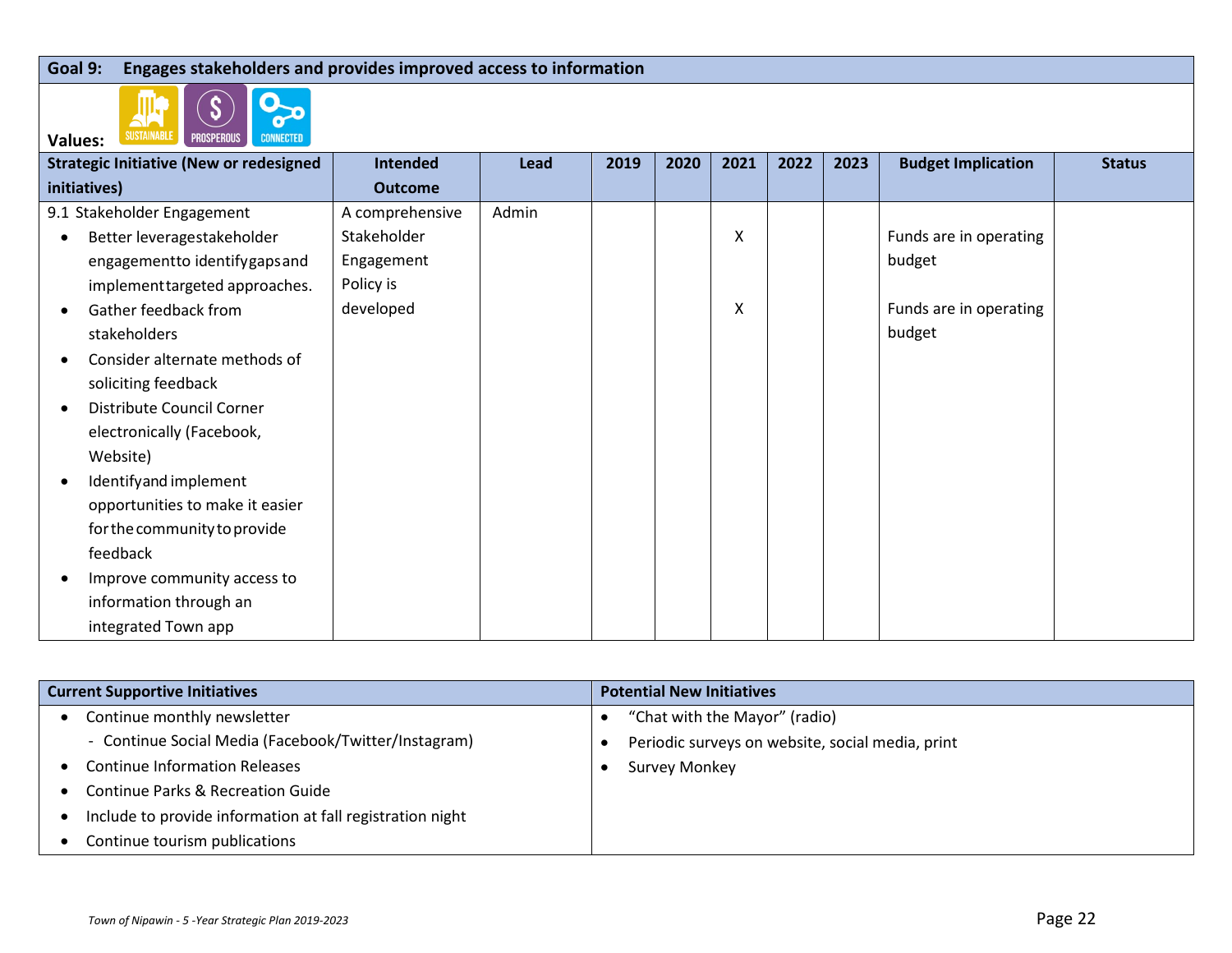### **Goal 9: Engages stakeholders and provides improved access to information**



| <b>SUSTAINABLE</b><br><b>PROSPEROUS</b><br><b>CONNECTED</b><br><b>Values:</b> |                 |       |      |      |      |      |      |                           |               |
|-------------------------------------------------------------------------------|-----------------|-------|------|------|------|------|------|---------------------------|---------------|
| <b>Strategic Initiative (New or redesigned</b>                                | Intended        | Lead  | 2019 | 2020 | 2021 | 2022 | 2023 | <b>Budget Implication</b> | <b>Status</b> |
| initiatives)                                                                  | <b>Outcome</b>  |       |      |      |      |      |      |                           |               |
| 9.1 Stakeholder Engagement                                                    | A comprehensive | Admin |      |      |      |      |      |                           |               |
| Better leveragestakeholder                                                    | Stakeholder     |       |      |      | Χ    |      |      | Funds are in operating    |               |
| engagementto identifygaps and                                                 | Engagement      |       |      |      |      |      |      | budget                    |               |
| implement targeted approaches.                                                | Policy is       |       |      |      |      |      |      |                           |               |
| Gather feedback from<br>$\bullet$                                             | developed       |       |      |      | Χ    |      |      | Funds are in operating    |               |
| stakeholders                                                                  |                 |       |      |      |      |      |      | budget                    |               |
| Consider alternate methods of<br>-                                            |                 |       |      |      |      |      |      |                           |               |
| soliciting feedback                                                           |                 |       |      |      |      |      |      |                           |               |
| Distribute Council Corner<br><b>C</b>                                         |                 |       |      |      |      |      |      |                           |               |
| electronically (Facebook,                                                     |                 |       |      |      |      |      |      |                           |               |
| Website)                                                                      |                 |       |      |      |      |      |      |                           |               |
| Identifyand implement<br>$\bullet$                                            |                 |       |      |      |      |      |      |                           |               |
| opportunities to make it easier                                               |                 |       |      |      |      |      |      |                           |               |
| for the community to provide                                                  |                 |       |      |      |      |      |      |                           |               |
| feedback                                                                      |                 |       |      |      |      |      |      |                           |               |
| Improve community access to                                                   |                 |       |      |      |      |      |      |                           |               |
| information through an                                                        |                 |       |      |      |      |      |      |                           |               |
| integrated Town app                                                           |                 |       |      |      |      |      |      |                           |               |

| <b>Current Supportive Initiatives</b>                     | <b>Potential New Initiatives</b>                 |  |  |  |  |  |  |  |
|-----------------------------------------------------------|--------------------------------------------------|--|--|--|--|--|--|--|
| Continue monthly newsletter                               | "Chat with the Mayor" (radio)                    |  |  |  |  |  |  |  |
| - Continue Social Media (Facebook/Twitter/Instagram)      | Periodic surveys on website, social media, print |  |  |  |  |  |  |  |
| <b>Continue Information Releases</b>                      | Survey Monkey                                    |  |  |  |  |  |  |  |
| <b>Continue Parks &amp; Recreation Guide</b>              |                                                  |  |  |  |  |  |  |  |
| Include to provide information at fall registration night |                                                  |  |  |  |  |  |  |  |
| Continue tourism publications                             |                                                  |  |  |  |  |  |  |  |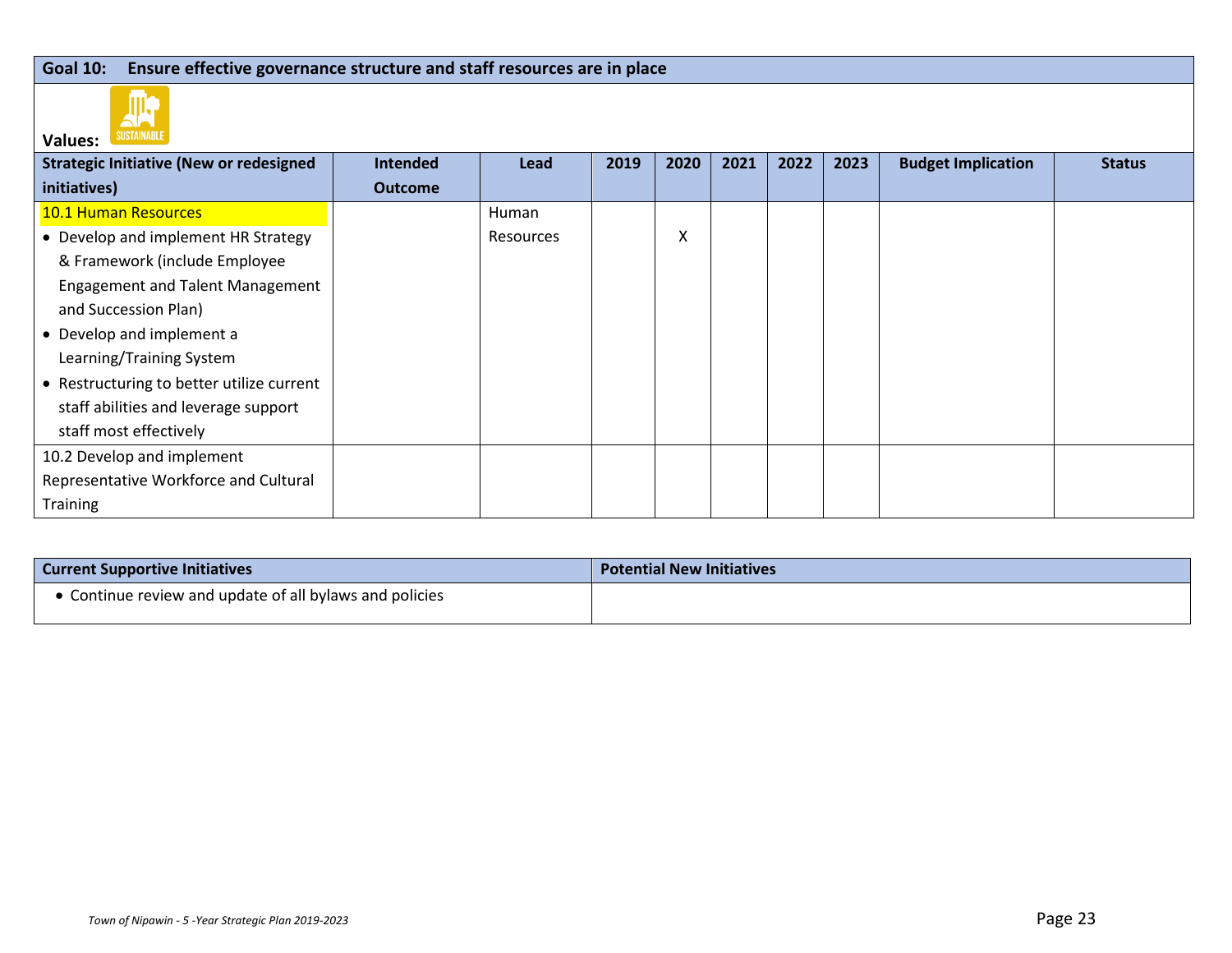### **Goal 10: Ensure effective governance structure and staff resources are in place**



| vaiucs.                                        |                |              |      |      |      |      |      |                           |               |
|------------------------------------------------|----------------|--------------|------|------|------|------|------|---------------------------|---------------|
| <b>Strategic Initiative (New or redesigned</b> | Intended       | Lead         | 2019 | 2020 | 2021 | 2022 | 2023 | <b>Budget Implication</b> | <b>Status</b> |
| initiatives)                                   | <b>Outcome</b> |              |      |      |      |      |      |                           |               |
| <b>10.1 Human Resources</b>                    |                | <b>Human</b> |      |      |      |      |      |                           |               |
| • Develop and implement HR Strategy            |                | Resources    |      | X    |      |      |      |                           |               |
| & Framework (include Employee                  |                |              |      |      |      |      |      |                           |               |
| <b>Engagement and Talent Management</b>        |                |              |      |      |      |      |      |                           |               |
| and Succession Plan)                           |                |              |      |      |      |      |      |                           |               |
| • Develop and implement a                      |                |              |      |      |      |      |      |                           |               |
| Learning/Training System                       |                |              |      |      |      |      |      |                           |               |
| • Restructuring to better utilize current      |                |              |      |      |      |      |      |                           |               |
| staff abilities and leverage support           |                |              |      |      |      |      |      |                           |               |
| staff most effectively                         |                |              |      |      |      |      |      |                           |               |
| 10.2 Develop and implement                     |                |              |      |      |      |      |      |                           |               |
| Representative Workforce and Cultural          |                |              |      |      |      |      |      |                           |               |
| <b>Training</b>                                |                |              |      |      |      |      |      |                           |               |

| <b>Current Supportive Initiatives</b>                   | <b>Potential New Initiatives</b> |  |  |  |  |  |  |
|---------------------------------------------------------|----------------------------------|--|--|--|--|--|--|
| • Continue review and update of all bylaws and policies |                                  |  |  |  |  |  |  |
|                                                         |                                  |  |  |  |  |  |  |